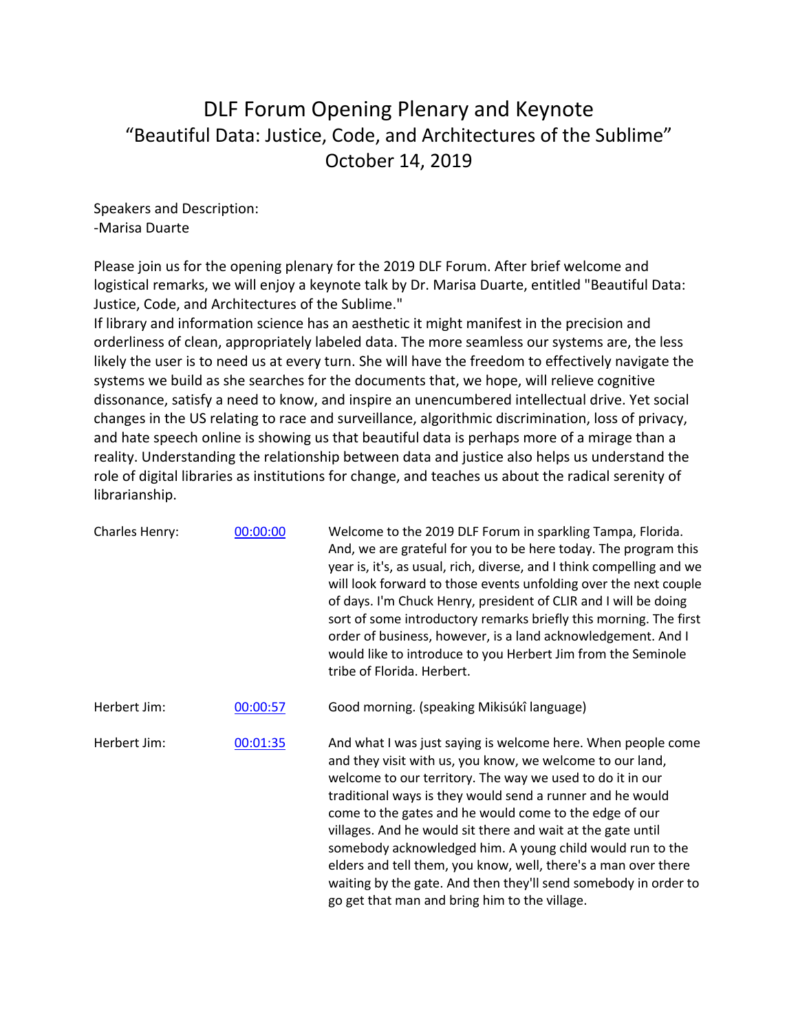## DLF Forum Opening Plenary and Keynote "Beautiful Data: Justice, Code, and Architectures of the Sublime" October 14, 2019

Speakers and Description: -Marisa Duarte

Please join us for the opening plenary for the 2019 DLF Forum. After brief welcome and logistical remarks, we will enjoy a keynote talk by Dr. Marisa Duarte, entitled "Beautiful Data: Justice, Code, and Architectures of the Sublime."

If library and information science has an aesthetic it might manifest in the precision and orderliness of clean, appropriately labeled data. The more seamless our systems are, the less likely the user is to need us at every turn. She will have the freedom to effectively navigate the systems we build as she searches for the documents that, we hope, will relieve cognitive dissonance, satisfy a need to know, and inspire an unencumbered intellectual drive. Yet social changes in the US relating to race and surveillance, algorithmic discrimination, loss of privacy, and hate speech online is showing us that beautiful data is perhaps more of a mirage than a reality. Understanding the relationship between data and justice also helps us understand the role of digital libraries as institutions for change, and teaches us about the radical serenity of librarianship.

| Charles Henry: | 00:00:00 | Welcome to the 2019 DLF Forum in sparkling Tampa, Florida.<br>And, we are grateful for you to be here today. The program this<br>year is, it's, as usual, rich, diverse, and I think compelling and we<br>will look forward to those events unfolding over the next couple<br>of days. I'm Chuck Henry, president of CLIR and I will be doing<br>sort of some introductory remarks briefly this morning. The first<br>order of business, however, is a land acknowledgement. And I<br>would like to introduce to you Herbert Jim from the Seminole<br>tribe of Florida. Herbert.                                                |
|----------------|----------|---------------------------------------------------------------------------------------------------------------------------------------------------------------------------------------------------------------------------------------------------------------------------------------------------------------------------------------------------------------------------------------------------------------------------------------------------------------------------------------------------------------------------------------------------------------------------------------------------------------------------------|
| Herbert Jim:   | 00:00:57 | Good morning. (speaking Mikisúkî language)                                                                                                                                                                                                                                                                                                                                                                                                                                                                                                                                                                                      |
| Herbert Jim:   | 00:01:35 | And what I was just saying is welcome here. When people come<br>and they visit with us, you know, we welcome to our land,<br>welcome to our territory. The way we used to do it in our<br>traditional ways is they would send a runner and he would<br>come to the gates and he would come to the edge of our<br>villages. And he would sit there and wait at the gate until<br>somebody acknowledged him. A young child would run to the<br>elders and tell them, you know, well, there's a man over there<br>waiting by the gate. And then they'll send somebody in order to<br>go get that man and bring him to the village. |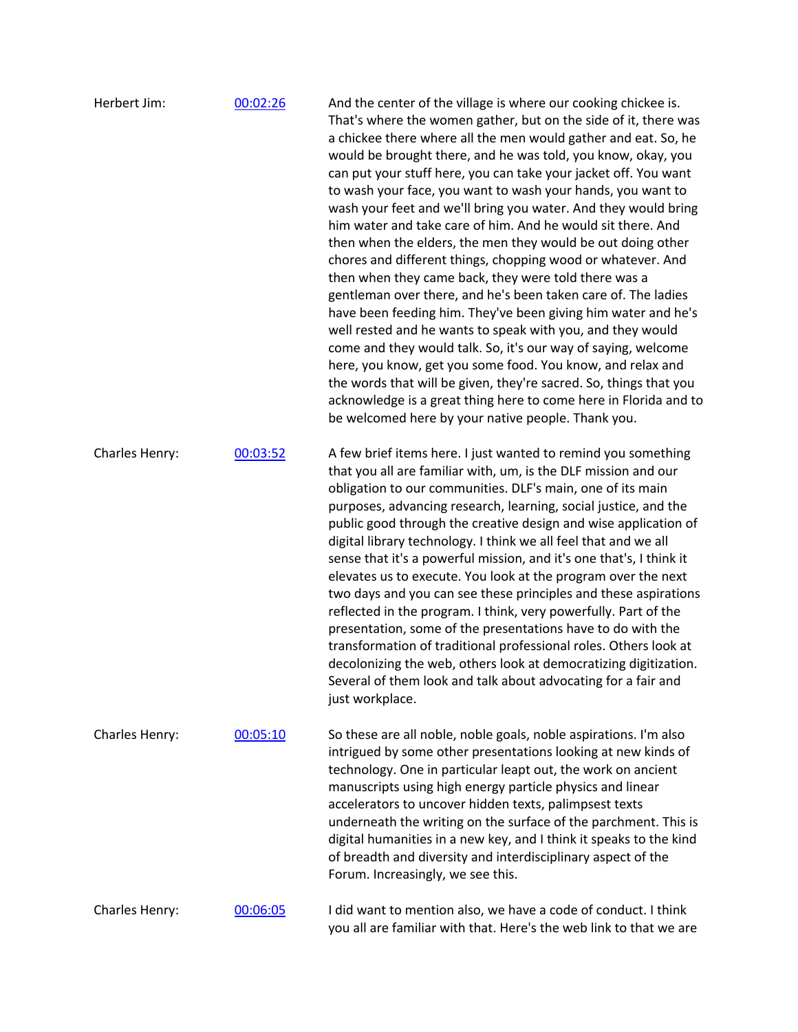| Herbert Jim:   | 00:02:26 | And the center of the village is where our cooking chickee is.<br>That's where the women gather, but on the side of it, there was<br>a chickee there where all the men would gather and eat. So, he<br>would be brought there, and he was told, you know, okay, you<br>can put your stuff here, you can take your jacket off. You want<br>to wash your face, you want to wash your hands, you want to<br>wash your feet and we'll bring you water. And they would bring<br>him water and take care of him. And he would sit there. And<br>then when the elders, the men they would be out doing other<br>chores and different things, chopping wood or whatever. And<br>then when they came back, they were told there was a<br>gentleman over there, and he's been taken care of. The ladies<br>have been feeding him. They've been giving him water and he's<br>well rested and he wants to speak with you, and they would<br>come and they would talk. So, it's our way of saying, welcome<br>here, you know, get you some food. You know, and relax and<br>the words that will be given, they're sacred. So, things that you<br>acknowledge is a great thing here to come here in Florida and to<br>be welcomed here by your native people. Thank you. |
|----------------|----------|------------------------------------------------------------------------------------------------------------------------------------------------------------------------------------------------------------------------------------------------------------------------------------------------------------------------------------------------------------------------------------------------------------------------------------------------------------------------------------------------------------------------------------------------------------------------------------------------------------------------------------------------------------------------------------------------------------------------------------------------------------------------------------------------------------------------------------------------------------------------------------------------------------------------------------------------------------------------------------------------------------------------------------------------------------------------------------------------------------------------------------------------------------------------------------------------------------------------------------------------------------|
| Charles Henry: | 00:03:52 | A few brief items here. I just wanted to remind you something<br>that you all are familiar with, um, is the DLF mission and our<br>obligation to our communities. DLF's main, one of its main<br>purposes, advancing research, learning, social justice, and the<br>public good through the creative design and wise application of<br>digital library technology. I think we all feel that and we all<br>sense that it's a powerful mission, and it's one that's, I think it<br>elevates us to execute. You look at the program over the next<br>two days and you can see these principles and these aspirations<br>reflected in the program. I think, very powerfully. Part of the<br>presentation, some of the presentations have to do with the<br>transformation of traditional professional roles. Others look at<br>decolonizing the web, others look at democratizing digitization.<br>Several of them look and talk about advocating for a fair and<br>just workplace.                                                                                                                                                                                                                                                                            |
| Charles Henry: | 00:05:10 | So these are all noble, noble goals, noble aspirations. I'm also<br>intrigued by some other presentations looking at new kinds of<br>technology. One in particular leapt out, the work on ancient<br>manuscripts using high energy particle physics and linear<br>accelerators to uncover hidden texts, palimpsest texts<br>underneath the writing on the surface of the parchment. This is<br>digital humanities in a new key, and I think it speaks to the kind<br>of breadth and diversity and interdisciplinary aspect of the<br>Forum. Increasingly, we see this.                                                                                                                                                                                                                                                                                                                                                                                                                                                                                                                                                                                                                                                                                     |
| Charles Henry: | 00:06:05 | I did want to mention also, we have a code of conduct. I think<br>you all are familiar with that. Here's the web link to that we are                                                                                                                                                                                                                                                                                                                                                                                                                                                                                                                                                                                                                                                                                                                                                                                                                                                                                                                                                                                                                                                                                                                       |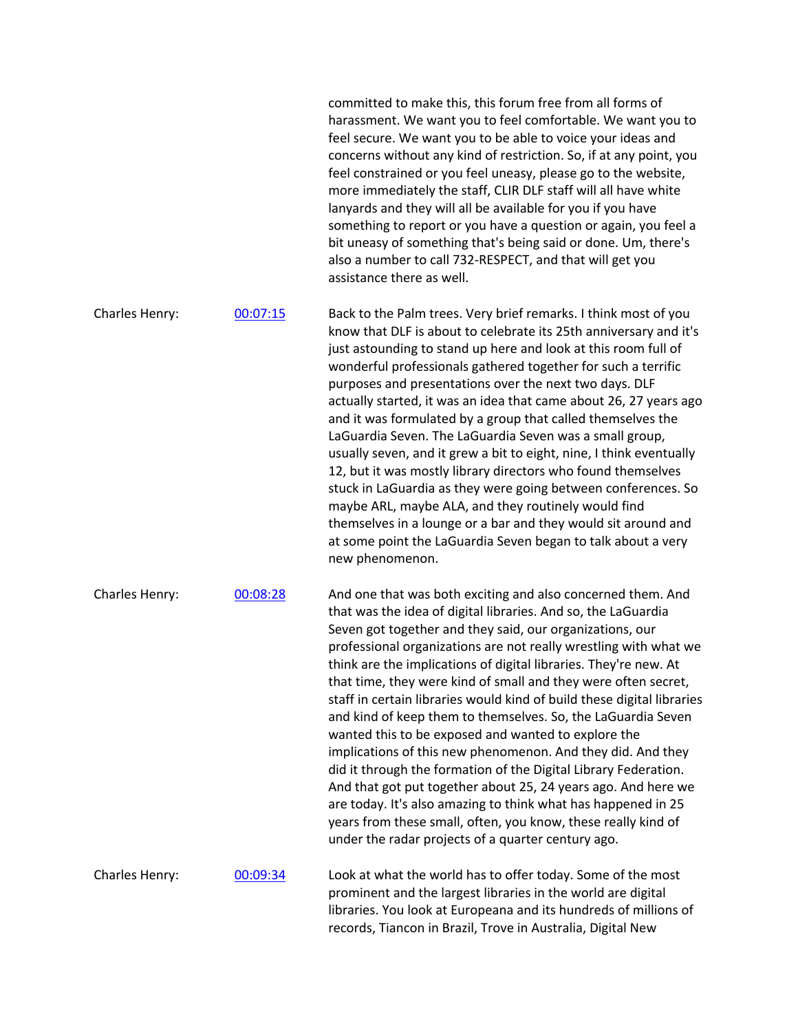|                |          | harassment. We want you to feel comfortable. We want you to<br>feel secure. We want you to be able to voice your ideas and<br>concerns without any kind of restriction. So, if at any point, you<br>feel constrained or you feel uneasy, please go to the website,<br>more immediately the staff, CLIR DLF staff will all have white<br>lanyards and they will all be available for you if you have<br>something to report or you have a question or again, you feel a<br>bit uneasy of something that's being said or done. Um, there's<br>also a number to call 732-RESPECT, and that will get you<br>assistance there as well.                                                                                                                                                                                                                                                                                                                                                              |
|----------------|----------|------------------------------------------------------------------------------------------------------------------------------------------------------------------------------------------------------------------------------------------------------------------------------------------------------------------------------------------------------------------------------------------------------------------------------------------------------------------------------------------------------------------------------------------------------------------------------------------------------------------------------------------------------------------------------------------------------------------------------------------------------------------------------------------------------------------------------------------------------------------------------------------------------------------------------------------------------------------------------------------------|
| Charles Henry: | 00:07:15 | Back to the Palm trees. Very brief remarks. I think most of you<br>know that DLF is about to celebrate its 25th anniversary and it's<br>just astounding to stand up here and look at this room full of<br>wonderful professionals gathered together for such a terrific<br>purposes and presentations over the next two days. DLF<br>actually started, it was an idea that came about 26, 27 years ago<br>and it was formulated by a group that called themselves the<br>LaGuardia Seven. The LaGuardia Seven was a small group,<br>usually seven, and it grew a bit to eight, nine, I think eventually<br>12, but it was mostly library directors who found themselves<br>stuck in LaGuardia as they were going between conferences. So<br>maybe ARL, maybe ALA, and they routinely would find<br>themselves in a lounge or a bar and they would sit around and<br>at some point the LaGuardia Seven began to talk about a very<br>new phenomenon.                                            |
| Charles Henry: | 00:08:28 | And one that was both exciting and also concerned them. And<br>that was the idea of digital libraries. And so, the LaGuardia<br>Seven got together and they said, our organizations, our<br>professional organizations are not really wrestling with what we<br>think are the implications of digital libraries. They're new. At<br>that time, they were kind of small and they were often secret,<br>staff in certain libraries would kind of build these digital libraries<br>and kind of keep them to themselves. So, the LaGuardia Seven<br>wanted this to be exposed and wanted to explore the<br>implications of this new phenomenon. And they did. And they<br>did it through the formation of the Digital Library Federation.<br>And that got put together about 25, 24 years ago. And here we<br>are today. It's also amazing to think what has happened in 25<br>years from these small, often, you know, these really kind of<br>under the radar projects of a quarter century ago. |
| Charles Henry: | 00:09:34 | Look at what the world has to offer today. Some of the most<br>prominent and the largest libraries in the world are digital<br>libraries. You look at Europeana and its hundreds of millions of<br>records, Tiancon in Brazil, Trove in Australia, Digital New                                                                                                                                                                                                                                                                                                                                                                                                                                                                                                                                                                                                                                                                                                                                 |

committed to make this, this forum free from all forms of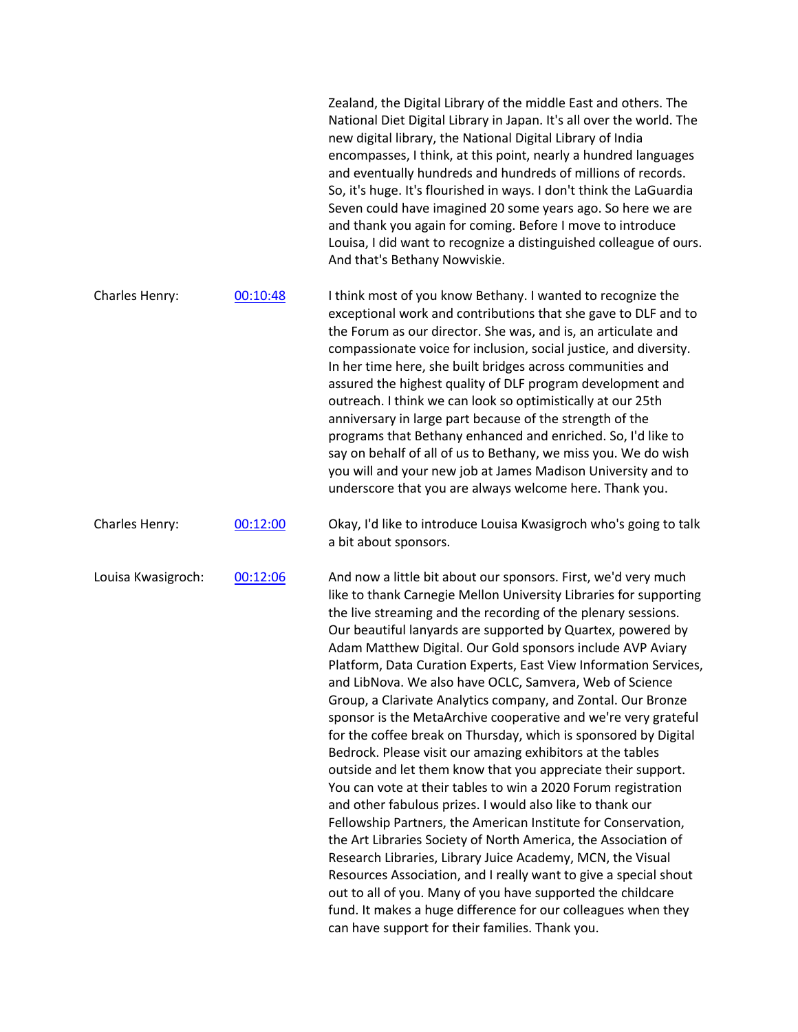|                    |          | Zealand, the Digital Library of the middle East and others. The<br>National Diet Digital Library in Japan. It's all over the world. The<br>new digital library, the National Digital Library of India<br>encompasses, I think, at this point, nearly a hundred languages<br>and eventually hundreds and hundreds of millions of records.<br>So, it's huge. It's flourished in ways. I don't think the LaGuardia<br>Seven could have imagined 20 some years ago. So here we are<br>and thank you again for coming. Before I move to introduce<br>Louisa, I did want to recognize a distinguished colleague of ours.<br>And that's Bethany Nowviskie.                                                                                                                                                                                                                                                                                                                                                                                                                                                                                                                                                                                                                                                                                    |
|--------------------|----------|----------------------------------------------------------------------------------------------------------------------------------------------------------------------------------------------------------------------------------------------------------------------------------------------------------------------------------------------------------------------------------------------------------------------------------------------------------------------------------------------------------------------------------------------------------------------------------------------------------------------------------------------------------------------------------------------------------------------------------------------------------------------------------------------------------------------------------------------------------------------------------------------------------------------------------------------------------------------------------------------------------------------------------------------------------------------------------------------------------------------------------------------------------------------------------------------------------------------------------------------------------------------------------------------------------------------------------------|
| Charles Henry:     | 00:10:48 | I think most of you know Bethany. I wanted to recognize the<br>exceptional work and contributions that she gave to DLF and to<br>the Forum as our director. She was, and is, an articulate and<br>compassionate voice for inclusion, social justice, and diversity.<br>In her time here, she built bridges across communities and<br>assured the highest quality of DLF program development and<br>outreach. I think we can look so optimistically at our 25th<br>anniversary in large part because of the strength of the<br>programs that Bethany enhanced and enriched. So, I'd like to<br>say on behalf of all of us to Bethany, we miss you. We do wish<br>you will and your new job at James Madison University and to<br>underscore that you are always welcome here. Thank you.                                                                                                                                                                                                                                                                                                                                                                                                                                                                                                                                                |
| Charles Henry:     | 00:12:00 | Okay, I'd like to introduce Louisa Kwasigroch who's going to talk<br>a bit about sponsors.                                                                                                                                                                                                                                                                                                                                                                                                                                                                                                                                                                                                                                                                                                                                                                                                                                                                                                                                                                                                                                                                                                                                                                                                                                             |
| Louisa Kwasigroch: | 00:12:06 | And now a little bit about our sponsors. First, we'd very much<br>like to thank Carnegie Mellon University Libraries for supporting<br>the live streaming and the recording of the plenary sessions.<br>Our beautiful lanyards are supported by Quartex, powered by<br>Adam Matthew Digital. Our Gold sponsors include AVP Aviary<br>Platform, Data Curation Experts, East View Information Services,<br>and LibNova. We also have OCLC, Samvera, Web of Science<br>Group, a Clarivate Analytics company, and Zontal. Our Bronze<br>sponsor is the MetaArchive cooperative and we're very grateful<br>for the coffee break on Thursday, which is sponsored by Digital<br>Bedrock. Please visit our amazing exhibitors at the tables<br>outside and let them know that you appreciate their support.<br>You can vote at their tables to win a 2020 Forum registration<br>and other fabulous prizes. I would also like to thank our<br>Fellowship Partners, the American Institute for Conservation,<br>the Art Libraries Society of North America, the Association of<br>Research Libraries, Library Juice Academy, MCN, the Visual<br>Resources Association, and I really want to give a special shout<br>out to all of you. Many of you have supported the childcare<br>fund. It makes a huge difference for our colleagues when they |

can have support for their families. Thank you.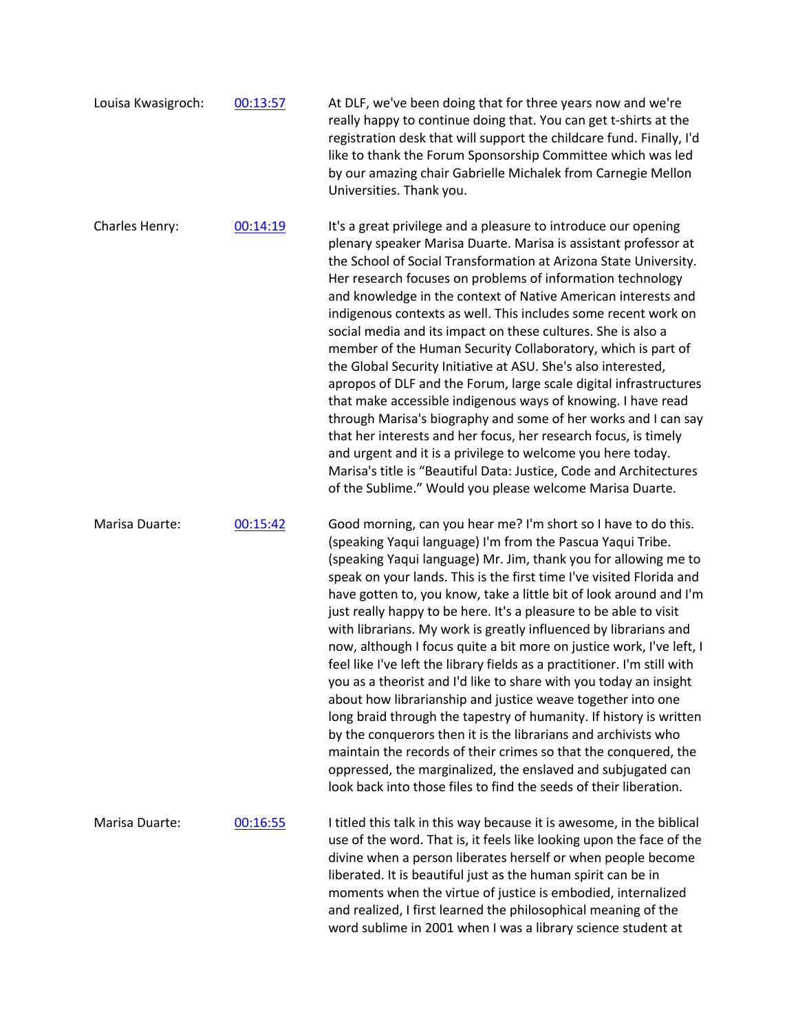| Louisa Kwasigroch: | 00:13:57 | At DLF, we've been doing that for three years now and we're<br>really happy to continue doing that. You can get t-shirts at the<br>registration desk that will support the childcare fund. Finally, I'd<br>like to thank the Forum Sponsorship Committee which was led<br>by our amazing chair Gabrielle Michalek from Carnegie Mellon<br>Universities. Thank you.                                                                                                                                                                                                                                                                                                                                                                                                                                                                                                                                                                                                                                                                                                                                                             |
|--------------------|----------|--------------------------------------------------------------------------------------------------------------------------------------------------------------------------------------------------------------------------------------------------------------------------------------------------------------------------------------------------------------------------------------------------------------------------------------------------------------------------------------------------------------------------------------------------------------------------------------------------------------------------------------------------------------------------------------------------------------------------------------------------------------------------------------------------------------------------------------------------------------------------------------------------------------------------------------------------------------------------------------------------------------------------------------------------------------------------------------------------------------------------------|
| Charles Henry:     | 00:14:19 | It's a great privilege and a pleasure to introduce our opening<br>plenary speaker Marisa Duarte. Marisa is assistant professor at<br>the School of Social Transformation at Arizona State University.<br>Her research focuses on problems of information technology<br>and knowledge in the context of Native American interests and<br>indigenous contexts as well. This includes some recent work on<br>social media and its impact on these cultures. She is also a<br>member of the Human Security Collaboratory, which is part of<br>the Global Security Initiative at ASU. She's also interested,<br>apropos of DLF and the Forum, large scale digital infrastructures<br>that make accessible indigenous ways of knowing. I have read<br>through Marisa's biography and some of her works and I can say<br>that her interests and her focus, her research focus, is timely<br>and urgent and it is a privilege to welcome you here today.<br>Marisa's title is "Beautiful Data: Justice, Code and Architectures<br>of the Sublime." Would you please welcome Marisa Duarte.                                             |
| Marisa Duarte:     | 00:15:42 | Good morning, can you hear me? I'm short so I have to do this.<br>(speaking Yaqui language) I'm from the Pascua Yaqui Tribe.<br>(speaking Yaqui language) Mr. Jim, thank you for allowing me to<br>speak on your lands. This is the first time I've visited Florida and<br>have gotten to, you know, take a little bit of look around and I'm<br>just really happy to be here. It's a pleasure to be able to visit<br>with librarians. My work is greatly influenced by librarians and<br>now, although I focus quite a bit more on justice work, I've left, I<br>feel like I've left the library fields as a practitioner. I'm still with<br>you as a theorist and I'd like to share with you today an insight<br>about how librarianship and justice weave together into one<br>long braid through the tapestry of humanity. If history is written<br>by the conquerors then it is the librarians and archivists who<br>maintain the records of their crimes so that the conquered, the<br>oppressed, the marginalized, the enslaved and subjugated can<br>look back into those files to find the seeds of their liberation. |
| Marisa Duarte:     | 00:16:55 | I titled this talk in this way because it is awesome, in the biblical<br>use of the word. That is, it feels like looking upon the face of the<br>divine when a person liberates herself or when people become<br>liberated. It is beautiful just as the human spirit can be in<br>moments when the virtue of justice is embodied, internalized<br>and realized, I first learned the philosophical meaning of the<br>word sublime in 2001 when I was a library science student at                                                                                                                                                                                                                                                                                                                                                                                                                                                                                                                                                                                                                                               |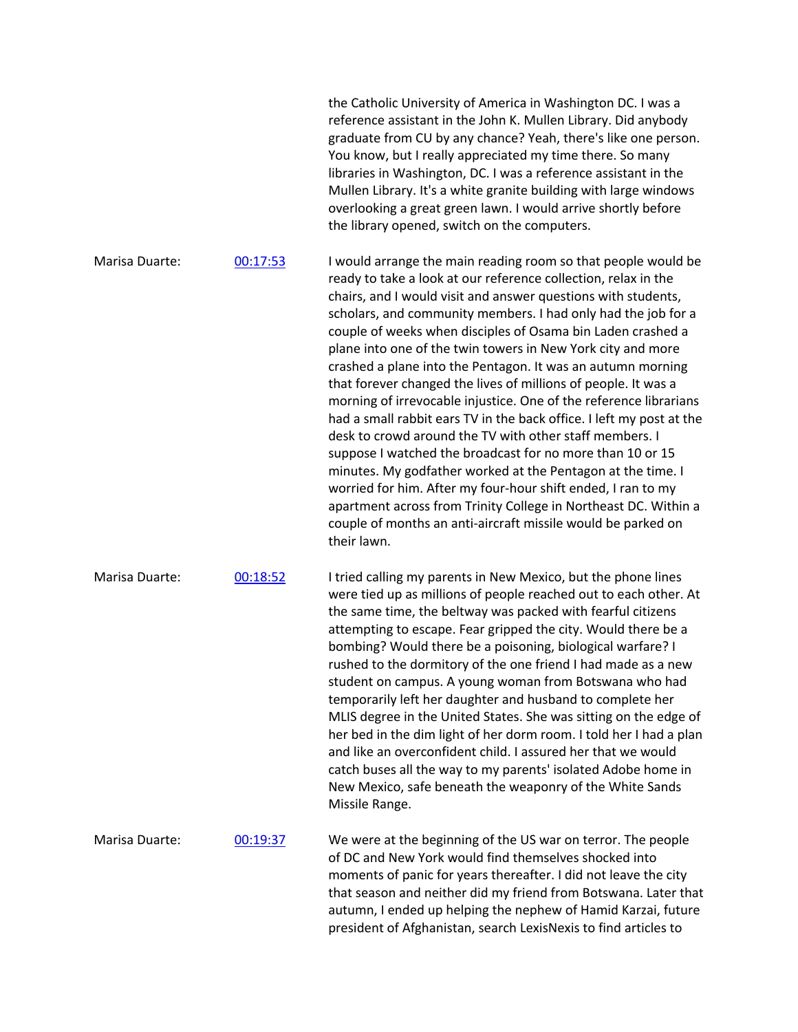|                |          | the Catholic University of America in Washington DC. I was a<br>reference assistant in the John K. Mullen Library. Did anybody<br>graduate from CU by any chance? Yeah, there's like one person.<br>You know, but I really appreciated my time there. So many<br>libraries in Washington, DC. I was a reference assistant in the<br>Mullen Library. It's a white granite building with large windows<br>overlooking a great green lawn. I would arrive shortly before<br>the library opened, switch on the computers.                                                                                                                                                                                                                                                                                                                                                                                                                                                                                                                                                                  |
|----------------|----------|----------------------------------------------------------------------------------------------------------------------------------------------------------------------------------------------------------------------------------------------------------------------------------------------------------------------------------------------------------------------------------------------------------------------------------------------------------------------------------------------------------------------------------------------------------------------------------------------------------------------------------------------------------------------------------------------------------------------------------------------------------------------------------------------------------------------------------------------------------------------------------------------------------------------------------------------------------------------------------------------------------------------------------------------------------------------------------------|
| Marisa Duarte: | 00:17:53 | I would arrange the main reading room so that people would be<br>ready to take a look at our reference collection, relax in the<br>chairs, and I would visit and answer questions with students,<br>scholars, and community members. I had only had the job for a<br>couple of weeks when disciples of Osama bin Laden crashed a<br>plane into one of the twin towers in New York city and more<br>crashed a plane into the Pentagon. It was an autumn morning<br>that forever changed the lives of millions of people. It was a<br>morning of irrevocable injustice. One of the reference librarians<br>had a small rabbit ears TV in the back office. I left my post at the<br>desk to crowd around the TV with other staff members. I<br>suppose I watched the broadcast for no more than 10 or 15<br>minutes. My godfather worked at the Pentagon at the time. I<br>worried for him. After my four-hour shift ended, I ran to my<br>apartment across from Trinity College in Northeast DC. Within a<br>couple of months an anti-aircraft missile would be parked on<br>their lawn. |
| Marisa Duarte: | 00:18:52 | I tried calling my parents in New Mexico, but the phone lines<br>were tied up as millions of people reached out to each other. At<br>the same time, the beltway was packed with fearful citizens<br>attempting to escape. Fear gripped the city. Would there be a<br>bombing? Would there be a poisoning, biological warfare? I<br>rushed to the dormitory of the one friend I had made as a new<br>student on campus. A young woman from Botswana who had<br>temporarily left her daughter and husband to complete her<br>MLIS degree in the United States. She was sitting on the edge of<br>her bed in the dim light of her dorm room. I told her I had a plan<br>and like an overconfident child. I assured her that we would<br>catch buses all the way to my parents' isolated Adobe home in<br>New Mexico, safe beneath the weaponry of the White Sands<br>Missile Range.                                                                                                                                                                                                       |
| Marisa Duarte: | 00:19:37 | We were at the beginning of the US war on terror. The people<br>of DC and New York would find themselves shocked into<br>moments of panic for years thereafter. I did not leave the city<br>that season and neither did my friend from Botswana. Later that<br>autumn, I ended up helping the nephew of Hamid Karzai, future<br>president of Afghanistan, search LexisNexis to find articles to                                                                                                                                                                                                                                                                                                                                                                                                                                                                                                                                                                                                                                                                                        |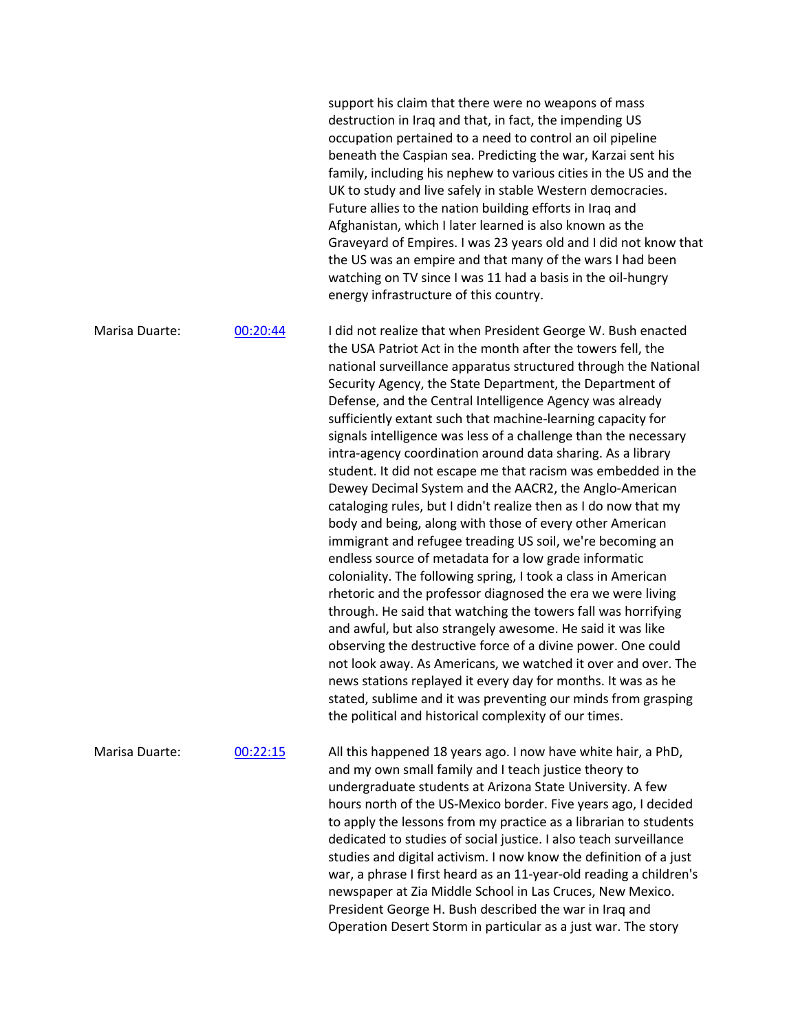support his claim that there were no weapons of mass destruction in Iraq and that, in fact, the impending US occupation pertained to a need to control an oil pipeline beneath the Caspian sea. Predicting the war, Karzai sent his family, including his nephew to various cities in the US and the UK to study and live safely in stable Western democracies. Future allies to the nation building efforts in Iraq and Afghanistan, which I later learned is also known as the Graveyard of Empires. I was 23 years old and I did not know that the US was an empire and that many of the wars I had been watching on TV since I was 11 had a basis in the oil-hungry energy infrastructure of this country. Marisa Duarte: 00:20:44 I did not realize that when President George W. Bush enacted the USA Patriot Act in the month after the towers fell, the national surveillance apparatus structured through the National Security Agency, the State Department, the Department of Defense, and the Central Intelligence Agency was already sufficiently extant such that machine-learning capacity for signals intelligence was less of a challenge than the necessary intra-agency coordination around data sharing. As a library student. It did not escape me that racism was embedded in the Dewey Decimal System and the AACR2, the Anglo-American cataloging rules, but I didn't realize then as I do now that my body and being, along with those of every other American immigrant and refugee treading US soil, we're becoming an endless source of metadata for a low grade informatic coloniality. The following spring, I took a class in American rhetoric and the professor diagnosed the era we were living through. He said that watching the towers fall was horrifying and awful, but also strangely awesome. He said it was like observing the destructive force of a divine power. One could not look away. As Americans, we watched it over and over. The news stations replayed it every day for months. It was as he stated, sublime and it was preventing our minds from grasping the political and historical complexity of our times. Marisa Duarte: 00:22:15 All this happened 18 years ago. I now have white hair, a PhD, and my own small family and I teach justice theory to undergraduate students at Arizona State University. A few hours north of the US-Mexico border. Five years ago, I decided to apply the lessons from my practice as a librarian to students dedicated to studies of social justice. I also teach surveillance studies and digital activism. I now know the definition of a just

> war, a phrase I first heard as an 11-year-old reading a children's newspaper at Zia Middle School in Las Cruces, New Mexico. President George H. Bush described the war in Iraq and Operation Desert Storm in particular as a just war. The story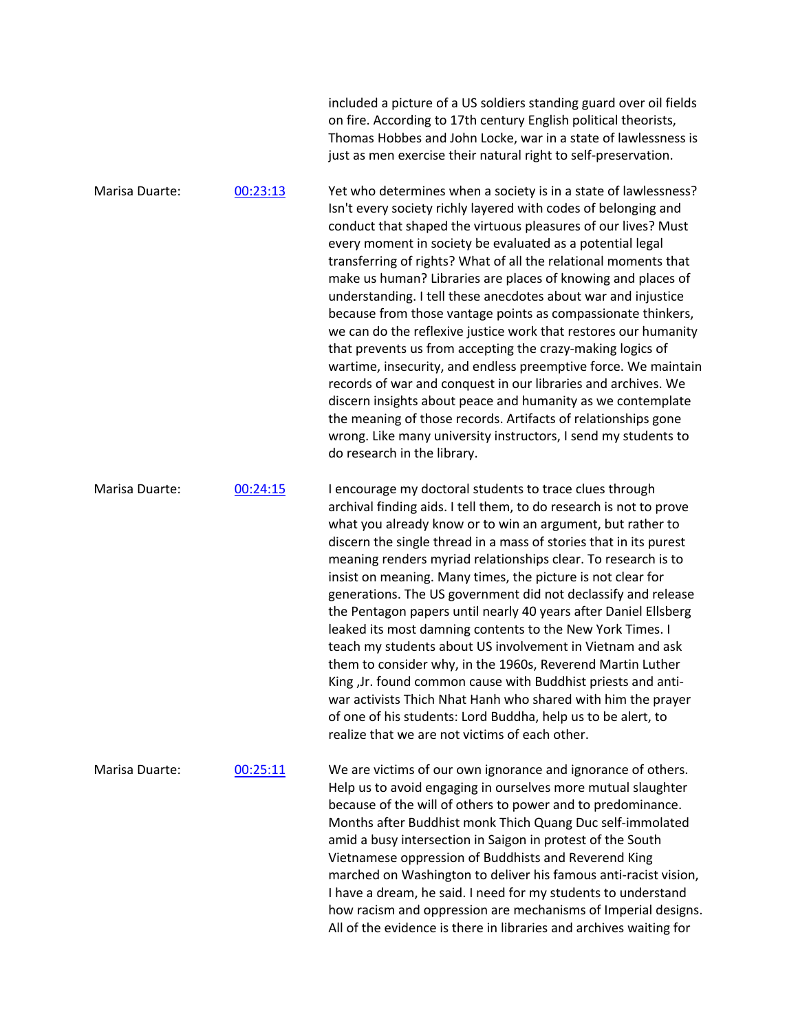|                |          | included a picture of a US soldiers standing guard over oil fields<br>on fire. According to 17th century English political theorists,<br>Thomas Hobbes and John Locke, war in a state of lawlessness is<br>just as men exercise their natural right to self-preservation.                                                                                                                                                                                                                                                                                                                                                                                                                                                                                                                                                                                                                                                                                                                                                                |
|----------------|----------|------------------------------------------------------------------------------------------------------------------------------------------------------------------------------------------------------------------------------------------------------------------------------------------------------------------------------------------------------------------------------------------------------------------------------------------------------------------------------------------------------------------------------------------------------------------------------------------------------------------------------------------------------------------------------------------------------------------------------------------------------------------------------------------------------------------------------------------------------------------------------------------------------------------------------------------------------------------------------------------------------------------------------------------|
| Marisa Duarte: | 00:23:13 | Yet who determines when a society is in a state of lawlessness?<br>Isn't every society richly layered with codes of belonging and<br>conduct that shaped the virtuous pleasures of our lives? Must<br>every moment in society be evaluated as a potential legal<br>transferring of rights? What of all the relational moments that<br>make us human? Libraries are places of knowing and places of<br>understanding. I tell these anecdotes about war and injustice<br>because from those vantage points as compassionate thinkers,<br>we can do the reflexive justice work that restores our humanity<br>that prevents us from accepting the crazy-making logics of<br>wartime, insecurity, and endless preemptive force. We maintain<br>records of war and conquest in our libraries and archives. We<br>discern insights about peace and humanity as we contemplate<br>the meaning of those records. Artifacts of relationships gone<br>wrong. Like many university instructors, I send my students to<br>do research in the library. |
| Marisa Duarte: | 00:24:15 | I encourage my doctoral students to trace clues through<br>archival finding aids. I tell them, to do research is not to prove<br>what you already know or to win an argument, but rather to<br>discern the single thread in a mass of stories that in its purest<br>meaning renders myriad relationships clear. To research is to<br>insist on meaning. Many times, the picture is not clear for<br>generations. The US government did not declassify and release<br>the Pentagon papers until nearly 40 years after Daniel Ellsberg<br>leaked its most damning contents to the New York Times. I<br>teach my students about US involvement in Vietnam and ask<br>them to consider why, in the 1960s, Reverend Martin Luther<br>King, Jr. found common cause with Buddhist priests and anti-<br>war activists Thich Nhat Hanh who shared with him the prayer<br>of one of his students: Lord Buddha, help us to be alert, to<br>realize that we are not victims of each other.                                                           |
| Marisa Duarte: | 00:25:11 | We are victims of our own ignorance and ignorance of others.<br>Help us to avoid engaging in ourselves more mutual slaughter<br>because of the will of others to power and to predominance.<br>Months after Buddhist monk Thich Quang Duc self-immolated<br>amid a busy intersection in Saigon in protest of the South<br>Vietnamese oppression of Buddhists and Reverend King<br>marched on Washington to deliver his famous anti-racist vision,<br>I have a dream, he said. I need for my students to understand<br>how racism and oppression are mechanisms of Imperial designs.<br>All of the evidence is there in libraries and archives waiting for                                                                                                                                                                                                                                                                                                                                                                                |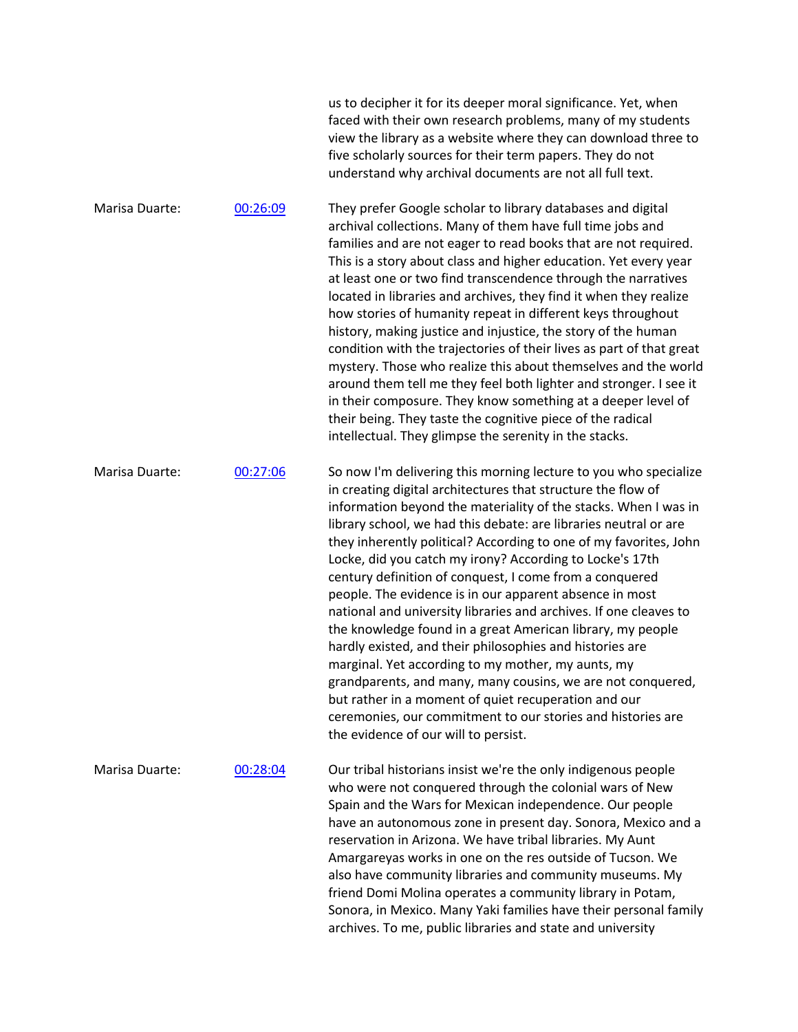|                |          | us to decipher it for its deeper moral significance. Yet, when<br>faced with their own research problems, many of my students<br>view the library as a website where they can download three to<br>five scholarly sources for their term papers. They do not<br>understand why archival documents are not all full text.                                                                                                                                                                                                                                                                                                                                                                                                                                                                                                                                                                                                                                                                                          |
|----------------|----------|-------------------------------------------------------------------------------------------------------------------------------------------------------------------------------------------------------------------------------------------------------------------------------------------------------------------------------------------------------------------------------------------------------------------------------------------------------------------------------------------------------------------------------------------------------------------------------------------------------------------------------------------------------------------------------------------------------------------------------------------------------------------------------------------------------------------------------------------------------------------------------------------------------------------------------------------------------------------------------------------------------------------|
| Marisa Duarte: | 00:26:09 | They prefer Google scholar to library databases and digital<br>archival collections. Many of them have full time jobs and<br>families and are not eager to read books that are not required.<br>This is a story about class and higher education. Yet every year<br>at least one or two find transcendence through the narratives<br>located in libraries and archives, they find it when they realize<br>how stories of humanity repeat in different keys throughout<br>history, making justice and injustice, the story of the human<br>condition with the trajectories of their lives as part of that great<br>mystery. Those who realize this about themselves and the world<br>around them tell me they feel both lighter and stronger. I see it<br>in their composure. They know something at a deeper level of<br>their being. They taste the cognitive piece of the radical<br>intellectual. They glimpse the serenity in the stacks.                                                                     |
| Marisa Duarte: | 00:27:06 | So now I'm delivering this morning lecture to you who specialize<br>in creating digital architectures that structure the flow of<br>information beyond the materiality of the stacks. When I was in<br>library school, we had this debate: are libraries neutral or are<br>they inherently political? According to one of my favorites, John<br>Locke, did you catch my irony? According to Locke's 17th<br>century definition of conquest, I come from a conquered<br>people. The evidence is in our apparent absence in most<br>national and university libraries and archives. If one cleaves to<br>the knowledge found in a great American library, my people<br>hardly existed, and their philosophies and histories are<br>marginal. Yet according to my mother, my aunts, my<br>grandparents, and many, many cousins, we are not conquered,<br>but rather in a moment of quiet recuperation and our<br>ceremonies, our commitment to our stories and histories are<br>the evidence of our will to persist. |
| Marisa Duarte: | 00:28:04 | Our tribal historians insist we're the only indigenous people<br>who were not conquered through the colonial wars of New<br>Spain and the Wars for Mexican independence. Our people<br>have an autonomous zone in present day. Sonora, Mexico and a<br>reservation in Arizona. We have tribal libraries. My Aunt<br>Amargareyas works in one on the res outside of Tucson. We<br>also have community libraries and community museums. My<br>friend Domi Molina operates a community library in Potam,<br>Sonora, in Mexico. Many Yaki families have their personal family<br>archives. To me, public libraries and state and university                                                                                                                                                                                                                                                                                                                                                                           |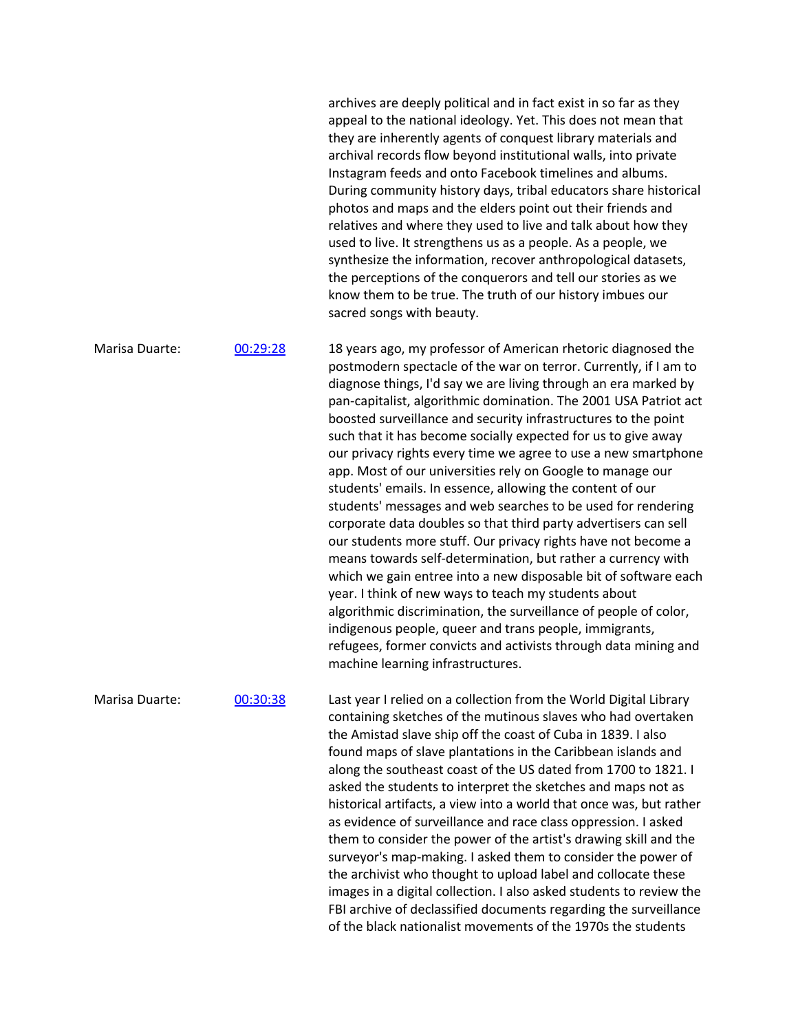archives are deeply political and in fact exist in so far as they appeal to the national ideology. Yet. This does not mean that they are inherently agents of conquest library materials and archival records flow beyond institutional walls, into private Instagram feeds and onto Facebook timelines and albums. During community history days, tribal educators share historical photos and maps and the elders point out their friends and relatives and where they used to live and talk about how they used to live. It strengthens us as a people. As a people, we synthesize the information, recover anthropological datasets, the perceptions of the conquerors and tell our stories as we know them to be true. The truth of our history imbues our sacred songs with beauty. Marisa Duarte: 00:29:28 18 years ago, my professor of American rhetoric diagnosed the postmodern spectacle of the war on terror. Currently, if I am to diagnose things, I'd say we are living through an era marked by pan-capitalist, algorithmic domination. The 2001 USA Patriot act boosted surveillance and security infrastructures to the point such that it has become socially expected for us to give away our privacy rights every time we agree to use a new smartphone app. Most of our universities rely on Google to manage our students' emails. In essence, allowing the content of our students' messages and web searches to be used for rendering corporate data doubles so that third party advertisers can sell our students more stuff. Our privacy rights have not become a means towards self-determination, but rather a currency with which we gain entree into a new disposable bit of software each year. I think of new ways to teach my students about algorithmic discrimination, the surveillance of people of color, indigenous people, queer and trans people, immigrants, refugees, former convicts and activists through data mining and machine learning infrastructures. Marisa Duarte: 00:30:38 Last year I relied on a collection from the World Digital Library containing sketches of the mutinous slaves who had overtaken the Amistad slave ship off the coast of Cuba in 1839. I also found maps of slave plantations in the Caribbean islands and along the southeast coast of the US dated from 1700 to 1821. I asked the students to interpret the sketches and maps not as historical artifacts, a view into a world that once was, but rather as evidence of surveillance and race class oppression. I asked them to consider the power of the artist's drawing skill and the surveyor's map-making. I asked them to consider the power of the archivist who thought to upload label and collocate these images in a digital collection. I also asked students to review the FBI archive of declassified documents regarding the surveillance

of the black nationalist movements of the 1970s the students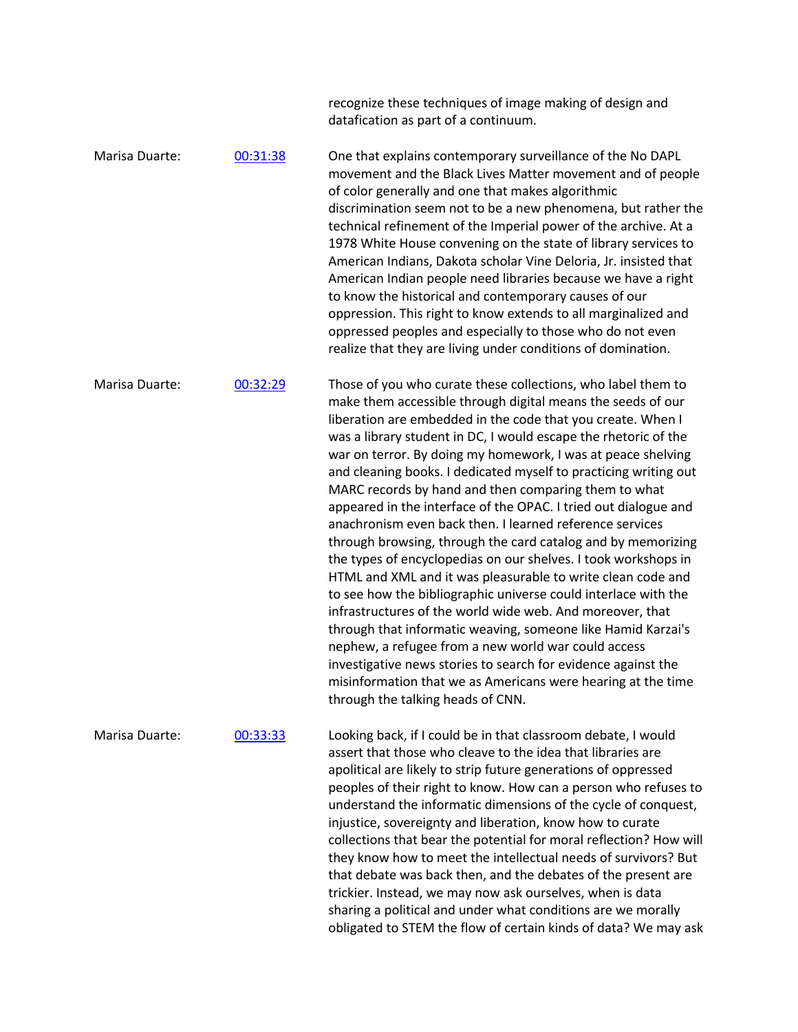|                |          | recognize these techniques of image making of design and<br>datafication as part of a continuum.                                                                                                                                                                                                                                                                                                                                                                                                                                                                                                                                                                                                                                                                                                                                                                                                                                                                                                                                                                                                                                                                                                                      |
|----------------|----------|-----------------------------------------------------------------------------------------------------------------------------------------------------------------------------------------------------------------------------------------------------------------------------------------------------------------------------------------------------------------------------------------------------------------------------------------------------------------------------------------------------------------------------------------------------------------------------------------------------------------------------------------------------------------------------------------------------------------------------------------------------------------------------------------------------------------------------------------------------------------------------------------------------------------------------------------------------------------------------------------------------------------------------------------------------------------------------------------------------------------------------------------------------------------------------------------------------------------------|
| Marisa Duarte: | 00:31:38 | One that explains contemporary surveillance of the No DAPL<br>movement and the Black Lives Matter movement and of people<br>of color generally and one that makes algorithmic<br>discrimination seem not to be a new phenomena, but rather the<br>technical refinement of the Imperial power of the archive. At a<br>1978 White House convening on the state of library services to<br>American Indians, Dakota scholar Vine Deloria, Jr. insisted that<br>American Indian people need libraries because we have a right<br>to know the historical and contemporary causes of our<br>oppression. This right to know extends to all marginalized and<br>oppressed peoples and especially to those who do not even<br>realize that they are living under conditions of domination.                                                                                                                                                                                                                                                                                                                                                                                                                                      |
| Marisa Duarte: | 00:32:29 | Those of you who curate these collections, who label them to<br>make them accessible through digital means the seeds of our<br>liberation are embedded in the code that you create. When I<br>was a library student in DC, I would escape the rhetoric of the<br>war on terror. By doing my homework, I was at peace shelving<br>and cleaning books. I dedicated myself to practicing writing out<br>MARC records by hand and then comparing them to what<br>appeared in the interface of the OPAC. I tried out dialogue and<br>anachronism even back then. I learned reference services<br>through browsing, through the card catalog and by memorizing<br>the types of encyclopedias on our shelves. I took workshops in<br>HTML and XML and it was pleasurable to write clean code and<br>to see how the bibliographic universe could interlace with the<br>infrastructures of the world wide web. And moreover, that<br>through that informatic weaving, someone like Hamid Karzai's<br>nephew, a refugee from a new world war could access<br>investigative news stories to search for evidence against the<br>misinformation that we as Americans were hearing at the time<br>through the talking heads of CNN. |
| Marisa Duarte: | 00:33:33 | Looking back, if I could be in that classroom debate, I would<br>assert that those who cleave to the idea that libraries are<br>apolitical are likely to strip future generations of oppressed<br>peoples of their right to know. How can a person who refuses to<br>understand the informatic dimensions of the cycle of conquest,<br>injustice, sovereignty and liberation, know how to curate<br>collections that bear the potential for moral reflection? How will<br>they know how to meet the intellectual needs of survivors? But<br>that debate was back then, and the debates of the present are<br>trickier. Instead, we may now ask ourselves, when is data<br>sharing a political and under what conditions are we morally<br>obligated to STEM the flow of certain kinds of data? We may ask                                                                                                                                                                                                                                                                                                                                                                                                             |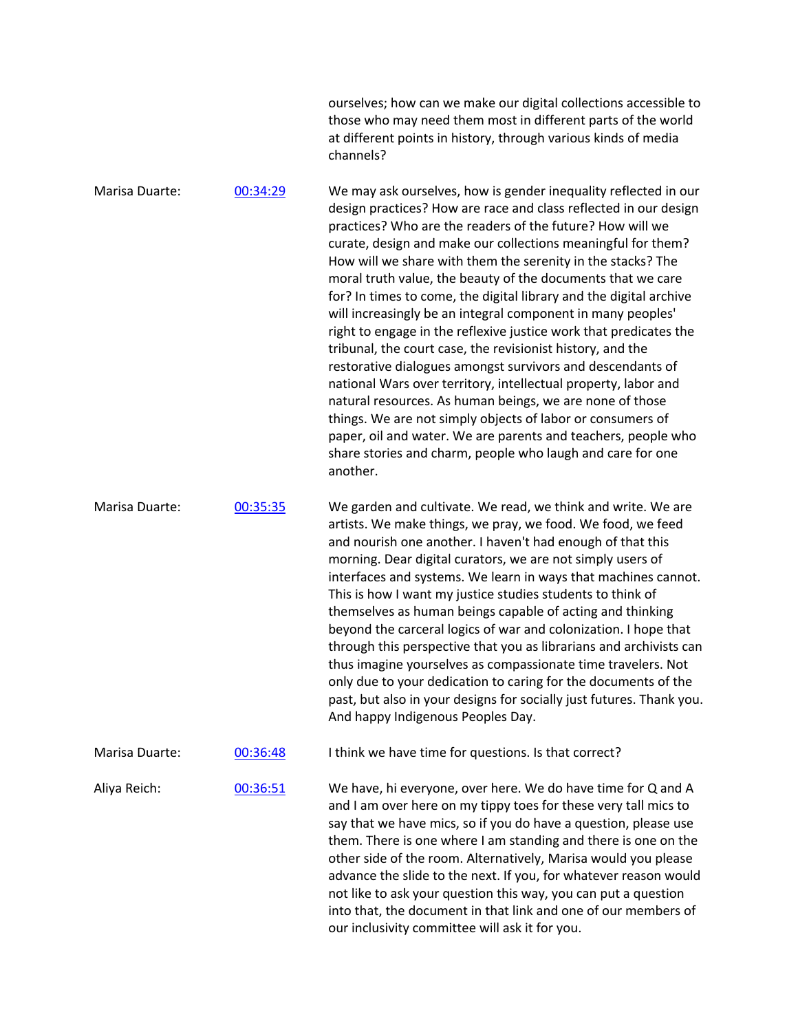|                |          | ourselves; how can we make our digital collections accessible to<br>those who may need them most in different parts of the world<br>at different points in history, through various kinds of media<br>channels?                                                                                                                                                                                                                                                                                                                                                                                                                                                                                                                                                                                                                                                                                                                                                                                                                                                             |
|----------------|----------|-----------------------------------------------------------------------------------------------------------------------------------------------------------------------------------------------------------------------------------------------------------------------------------------------------------------------------------------------------------------------------------------------------------------------------------------------------------------------------------------------------------------------------------------------------------------------------------------------------------------------------------------------------------------------------------------------------------------------------------------------------------------------------------------------------------------------------------------------------------------------------------------------------------------------------------------------------------------------------------------------------------------------------------------------------------------------------|
| Marisa Duarte: | 00:34:29 | We may ask ourselves, how is gender inequality reflected in our<br>design practices? How are race and class reflected in our design<br>practices? Who are the readers of the future? How will we<br>curate, design and make our collections meaningful for them?<br>How will we share with them the serenity in the stacks? The<br>moral truth value, the beauty of the documents that we care<br>for? In times to come, the digital library and the digital archive<br>will increasingly be an integral component in many peoples'<br>right to engage in the reflexive justice work that predicates the<br>tribunal, the court case, the revisionist history, and the<br>restorative dialogues amongst survivors and descendants of<br>national Wars over territory, intellectual property, labor and<br>natural resources. As human beings, we are none of those<br>things. We are not simply objects of labor or consumers of<br>paper, oil and water. We are parents and teachers, people who<br>share stories and charm, people who laugh and care for one<br>another. |
| Marisa Duarte: | 00:35:35 | We garden and cultivate. We read, we think and write. We are<br>artists. We make things, we pray, we food. We food, we feed<br>and nourish one another. I haven't had enough of that this<br>morning. Dear digital curators, we are not simply users of<br>interfaces and systems. We learn in ways that machines cannot.<br>This is how I want my justice studies students to think of<br>themselves as human beings capable of acting and thinking<br>beyond the carceral logics of war and colonization. I hope that<br>through this perspective that you as librarians and archivists can<br>thus imagine yourselves as compassionate time travelers. Not<br>only due to your dedication to caring for the documents of the<br>past, but also in your designs for socially just futures. Thank you.<br>And happy Indigenous Peoples Day.                                                                                                                                                                                                                                |
| Marisa Duarte: | 00:36:48 | I think we have time for questions. Is that correct?                                                                                                                                                                                                                                                                                                                                                                                                                                                                                                                                                                                                                                                                                                                                                                                                                                                                                                                                                                                                                        |
| Aliya Reich:   | 00:36:51 | We have, hi everyone, over here. We do have time for Q and A<br>and I am over here on my tippy toes for these very tall mics to<br>say that we have mics, so if you do have a question, please use<br>them. There is one where I am standing and there is one on the<br>other side of the room. Alternatively, Marisa would you please<br>advance the slide to the next. If you, for whatever reason would<br>not like to ask your question this way, you can put a question<br>into that, the document in that link and one of our members of<br>our inclusivity committee will ask it for you.                                                                                                                                                                                                                                                                                                                                                                                                                                                                            |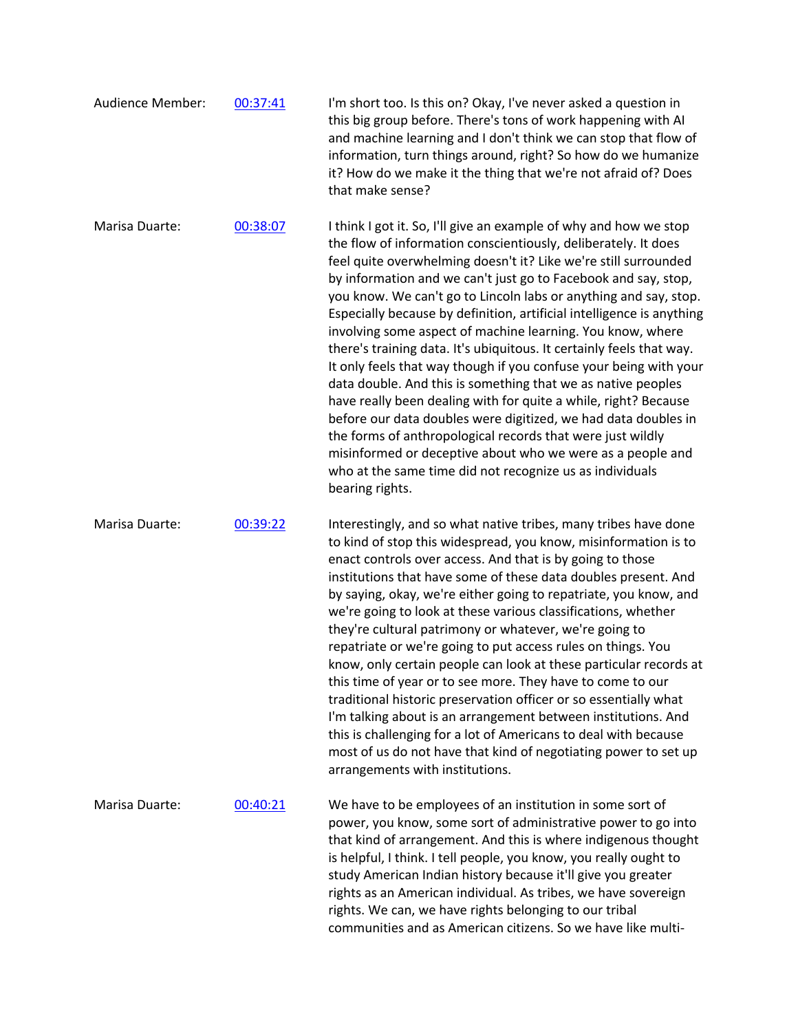| Audience Member: | 00:37:41 | I'm short too. Is this on? Okay, I've never asked a question in<br>this big group before. There's tons of work happening with AI<br>and machine learning and I don't think we can stop that flow of<br>information, turn things around, right? So how do we humanize<br>it? How do we make it the thing that we're not afraid of? Does<br>that make sense?                                                                                                                                                                                                                                                                                                                                                                                                                                                                                                                                                                                                                                                                                       |
|------------------|----------|--------------------------------------------------------------------------------------------------------------------------------------------------------------------------------------------------------------------------------------------------------------------------------------------------------------------------------------------------------------------------------------------------------------------------------------------------------------------------------------------------------------------------------------------------------------------------------------------------------------------------------------------------------------------------------------------------------------------------------------------------------------------------------------------------------------------------------------------------------------------------------------------------------------------------------------------------------------------------------------------------------------------------------------------------|
| Marisa Duarte:   | 00:38:07 | I think I got it. So, I'll give an example of why and how we stop<br>the flow of information conscientiously, deliberately. It does<br>feel quite overwhelming doesn't it? Like we're still surrounded<br>by information and we can't just go to Facebook and say, stop,<br>you know. We can't go to Lincoln labs or anything and say, stop.<br>Especially because by definition, artificial intelligence is anything<br>involving some aspect of machine learning. You know, where<br>there's training data. It's ubiquitous. It certainly feels that way.<br>It only feels that way though if you confuse your being with your<br>data double. And this is something that we as native peoples<br>have really been dealing with for quite a while, right? Because<br>before our data doubles were digitized, we had data doubles in<br>the forms of anthropological records that were just wildly<br>misinformed or deceptive about who we were as a people and<br>who at the same time did not recognize us as individuals<br>bearing rights. |
| Marisa Duarte:   | 00:39:22 | Interestingly, and so what native tribes, many tribes have done<br>to kind of stop this widespread, you know, misinformation is to<br>enact controls over access. And that is by going to those<br>institutions that have some of these data doubles present. And<br>by saying, okay, we're either going to repatriate, you know, and<br>we're going to look at these various classifications, whether<br>they're cultural patrimony or whatever, we're going to<br>repatriate or we're going to put access rules on things. You<br>know, only certain people can look at these particular records at<br>this time of year or to see more. They have to come to our<br>traditional historic preservation officer or so essentially what<br>I'm talking about is an arrangement between institutions. And<br>this is challenging for a lot of Americans to deal with because<br>most of us do not have that kind of negotiating power to set up<br>arrangements with institutions.                                                                |
| Marisa Duarte:   | 00:40:21 | We have to be employees of an institution in some sort of<br>power, you know, some sort of administrative power to go into<br>that kind of arrangement. And this is where indigenous thought<br>is helpful, I think. I tell people, you know, you really ought to<br>study American Indian history because it'll give you greater<br>rights as an American individual. As tribes, we have sovereign<br>rights. We can, we have rights belonging to our tribal<br>communities and as American citizens. So we have like multi-                                                                                                                                                                                                                                                                                                                                                                                                                                                                                                                    |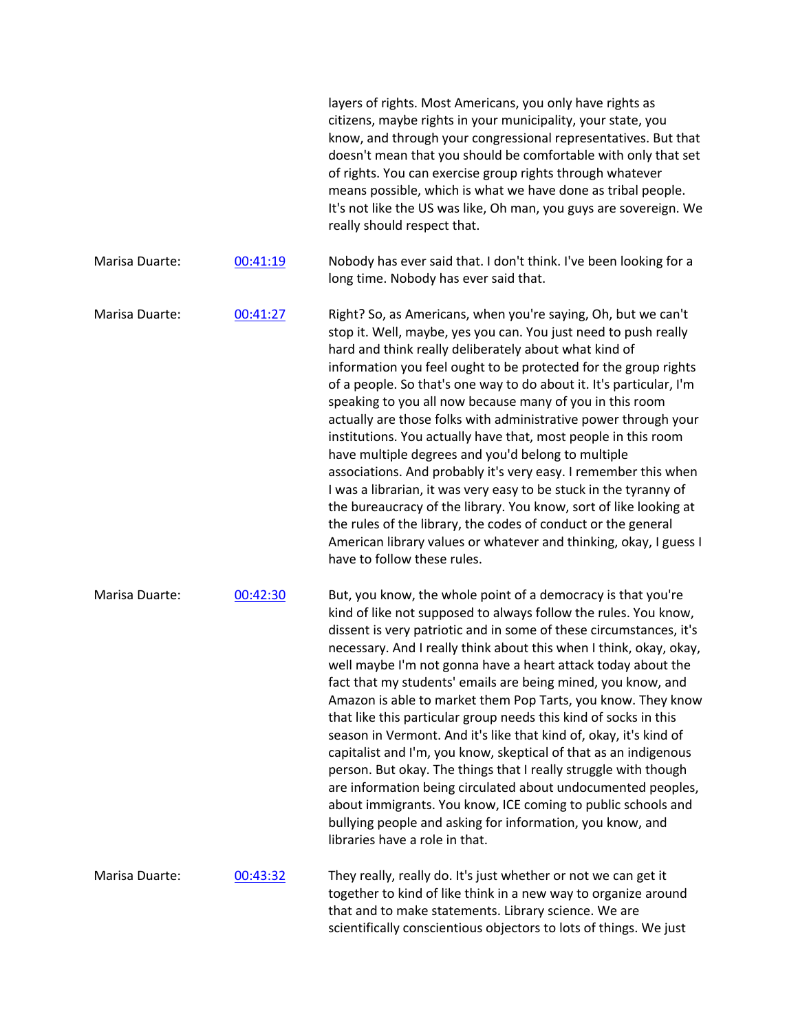|                |          | layers of rights. Most Americans, you only have rights as<br>citizens, maybe rights in your municipality, your state, you<br>know, and through your congressional representatives. But that<br>doesn't mean that you should be comfortable with only that set<br>of rights. You can exercise group rights through whatever<br>means possible, which is what we have done as tribal people.<br>It's not like the US was like, Oh man, you guys are sovereign. We<br>really should respect that.                                                                                                                                                                                                                                                                                                                                                                                                                                                                                             |
|----------------|----------|--------------------------------------------------------------------------------------------------------------------------------------------------------------------------------------------------------------------------------------------------------------------------------------------------------------------------------------------------------------------------------------------------------------------------------------------------------------------------------------------------------------------------------------------------------------------------------------------------------------------------------------------------------------------------------------------------------------------------------------------------------------------------------------------------------------------------------------------------------------------------------------------------------------------------------------------------------------------------------------------|
| Marisa Duarte: | 00:41:19 | Nobody has ever said that. I don't think. I've been looking for a<br>long time. Nobody has ever said that.                                                                                                                                                                                                                                                                                                                                                                                                                                                                                                                                                                                                                                                                                                                                                                                                                                                                                 |
| Marisa Duarte: | 00:41:27 | Right? So, as Americans, when you're saying, Oh, but we can't<br>stop it. Well, maybe, yes you can. You just need to push really<br>hard and think really deliberately about what kind of<br>information you feel ought to be protected for the group rights<br>of a people. So that's one way to do about it. It's particular, I'm<br>speaking to you all now because many of you in this room<br>actually are those folks with administrative power through your<br>institutions. You actually have that, most people in this room<br>have multiple degrees and you'd belong to multiple<br>associations. And probably it's very easy. I remember this when<br>I was a librarian, it was very easy to be stuck in the tyranny of<br>the bureaucracy of the library. You know, sort of like looking at<br>the rules of the library, the codes of conduct or the general<br>American library values or whatever and thinking, okay, I guess I<br>have to follow these rules.               |
| Marisa Duarte: | 00:42:30 | But, you know, the whole point of a democracy is that you're<br>kind of like not supposed to always follow the rules. You know,<br>dissent is very patriotic and in some of these circumstances, it's<br>necessary. And I really think about this when I think, okay, okay,<br>well maybe I'm not gonna have a heart attack today about the<br>fact that my students' emails are being mined, you know, and<br>Amazon is able to market them Pop Tarts, you know. They know<br>that like this particular group needs this kind of socks in this<br>season in Vermont. And it's like that kind of, okay, it's kind of<br>capitalist and I'm, you know, skeptical of that as an indigenous<br>person. But okay. The things that I really struggle with though<br>are information being circulated about undocumented peoples,<br>about immigrants. You know, ICE coming to public schools and<br>bullying people and asking for information, you know, and<br>libraries have a role in that. |
| Marisa Duarte: | 00:43:32 | They really, really do. It's just whether or not we can get it<br>together to kind of like think in a new way to organize around<br>that and to make statements. Library science. We are<br>scientifically conscientious objectors to lots of things. We just                                                                                                                                                                                                                                                                                                                                                                                                                                                                                                                                                                                                                                                                                                                              |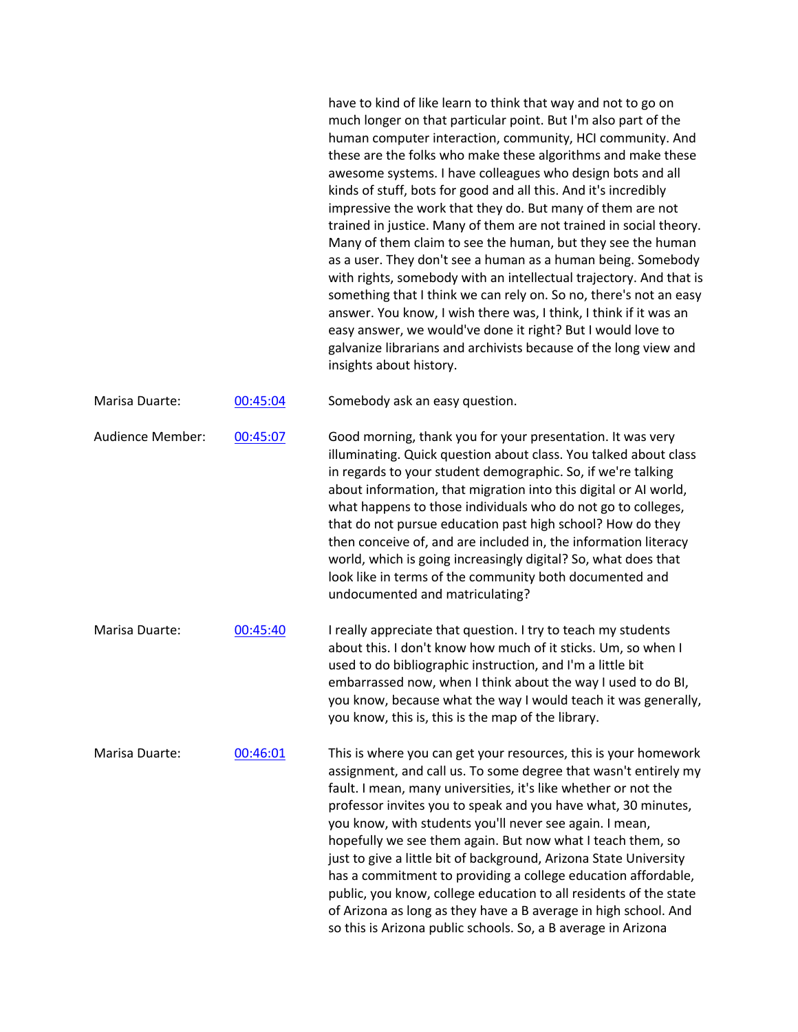have to kind of like learn to think that way and not to go on much longer on that particular point. But I'm also part of the human computer interaction, community, HCI community. And these are the folks who make these algorithms and make these awesome systems. I have colleagues who design bots and all kinds of stuff, bots for good and all this. And it's incredibly impressive the work that they do. But many of them are not trained in justice. Many of them are not trained in social theory. Many of them claim to see the human, but they see the human as a user. They don't see a human as a human being. Somebody with rights, somebody with an intellectual trajectory. And that is something that I think we can rely on. So no, there's not an easy answer. You know, I wish there was, I think, I think if it was an easy answer, we would've done it right? But I would love to galvanize librarians and archivists because of the long view and insights about history.

| Marisa Duarte:   | 00:45:04 | Somebody ask an easy question.                                                                                                                                                                                                                                                                                                                                                                                                                                                                                                                                                                                                                                                                                                                |
|------------------|----------|-----------------------------------------------------------------------------------------------------------------------------------------------------------------------------------------------------------------------------------------------------------------------------------------------------------------------------------------------------------------------------------------------------------------------------------------------------------------------------------------------------------------------------------------------------------------------------------------------------------------------------------------------------------------------------------------------------------------------------------------------|
| Audience Member: | 00:45:07 | Good morning, thank you for your presentation. It was very<br>illuminating. Quick question about class. You talked about class<br>in regards to your student demographic. So, if we're talking<br>about information, that migration into this digital or AI world,<br>what happens to those individuals who do not go to colleges,<br>that do not pursue education past high school? How do they<br>then conceive of, and are included in, the information literacy<br>world, which is going increasingly digital? So, what does that<br>look like in terms of the community both documented and<br>undocumented and matriculating?                                                                                                           |
| Marisa Duarte:   | 00:45:40 | I really appreciate that question. I try to teach my students<br>about this. I don't know how much of it sticks. Um, so when I<br>used to do bibliographic instruction, and I'm a little bit<br>embarrassed now, when I think about the way I used to do BI,<br>you know, because what the way I would teach it was generally,<br>you know, this is, this is the map of the library.                                                                                                                                                                                                                                                                                                                                                          |
| Marisa Duarte:   | 00:46:01 | This is where you can get your resources, this is your homework<br>assignment, and call us. To some degree that wasn't entirely my<br>fault. I mean, many universities, it's like whether or not the<br>professor invites you to speak and you have what, 30 minutes,<br>you know, with students you'll never see again. I mean,<br>hopefully we see them again. But now what I teach them, so<br>just to give a little bit of background, Arizona State University<br>has a commitment to providing a college education affordable,<br>public, you know, college education to all residents of the state<br>of Arizona as long as they have a B average in high school. And<br>so this is Arizona public schools. So, a B average in Arizona |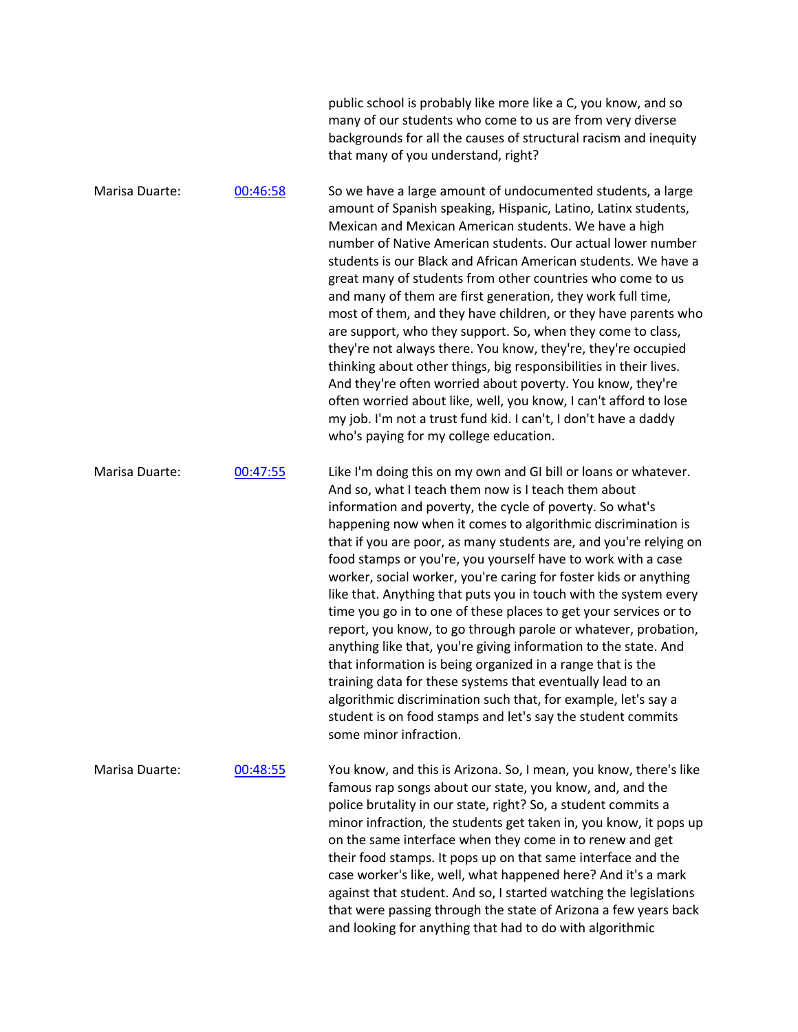|                |          | public school is probably like more like a C, you know, and so<br>many of our students who come to us are from very diverse<br>backgrounds for all the causes of structural racism and inequity<br>that many of you understand, right?                                                                                                                                                                                                                                                                                                                                                                                                                                                                                                                                                                                                                                                                                                                                                                                          |
|----------------|----------|---------------------------------------------------------------------------------------------------------------------------------------------------------------------------------------------------------------------------------------------------------------------------------------------------------------------------------------------------------------------------------------------------------------------------------------------------------------------------------------------------------------------------------------------------------------------------------------------------------------------------------------------------------------------------------------------------------------------------------------------------------------------------------------------------------------------------------------------------------------------------------------------------------------------------------------------------------------------------------------------------------------------------------|
| Marisa Duarte: | 00:46:58 | So we have a large amount of undocumented students, a large<br>amount of Spanish speaking, Hispanic, Latino, Latinx students,<br>Mexican and Mexican American students. We have a high<br>number of Native American students. Our actual lower number<br>students is our Black and African American students. We have a<br>great many of students from other countries who come to us<br>and many of them are first generation, they work full time,<br>most of them, and they have children, or they have parents who<br>are support, who they support. So, when they come to class,<br>they're not always there. You know, they're, they're occupied<br>thinking about other things, big responsibilities in their lives.<br>And they're often worried about poverty. You know, they're<br>often worried about like, well, you know, I can't afford to lose<br>my job. I'm not a trust fund kid. I can't, I don't have a daddy<br>who's paying for my college education.                                                      |
| Marisa Duarte: | 00:47:55 | Like I'm doing this on my own and GI bill or loans or whatever.<br>And so, what I teach them now is I teach them about<br>information and poverty, the cycle of poverty. So what's<br>happening now when it comes to algorithmic discrimination is<br>that if you are poor, as many students are, and you're relying on<br>food stamps or you're, you yourself have to work with a case<br>worker, social worker, you're caring for foster kids or anything<br>like that. Anything that puts you in touch with the system every<br>time you go in to one of these places to get your services or to<br>report, you know, to go through parole or whatever, probation,<br>anything like that, you're giving information to the state. And<br>that information is being organized in a range that is the<br>training data for these systems that eventually lead to an<br>algorithmic discrimination such that, for example, let's say a<br>student is on food stamps and let's say the student commits<br>some minor infraction. |
| Marisa Duarte: | 00:48:55 | You know, and this is Arizona. So, I mean, you know, there's like<br>famous rap songs about our state, you know, and, and the<br>police brutality in our state, right? So, a student commits a<br>minor infraction, the students get taken in, you know, it pops up<br>on the same interface when they come in to renew and get<br>their food stamps. It pops up on that same interface and the<br>case worker's like, well, what happened here? And it's a mark<br>against that student. And so, I started watching the legislations<br>that were passing through the state of Arizona a few years back<br>and looking for anything that had to do with algorithmic                                                                                                                                                                                                                                                                                                                                                            |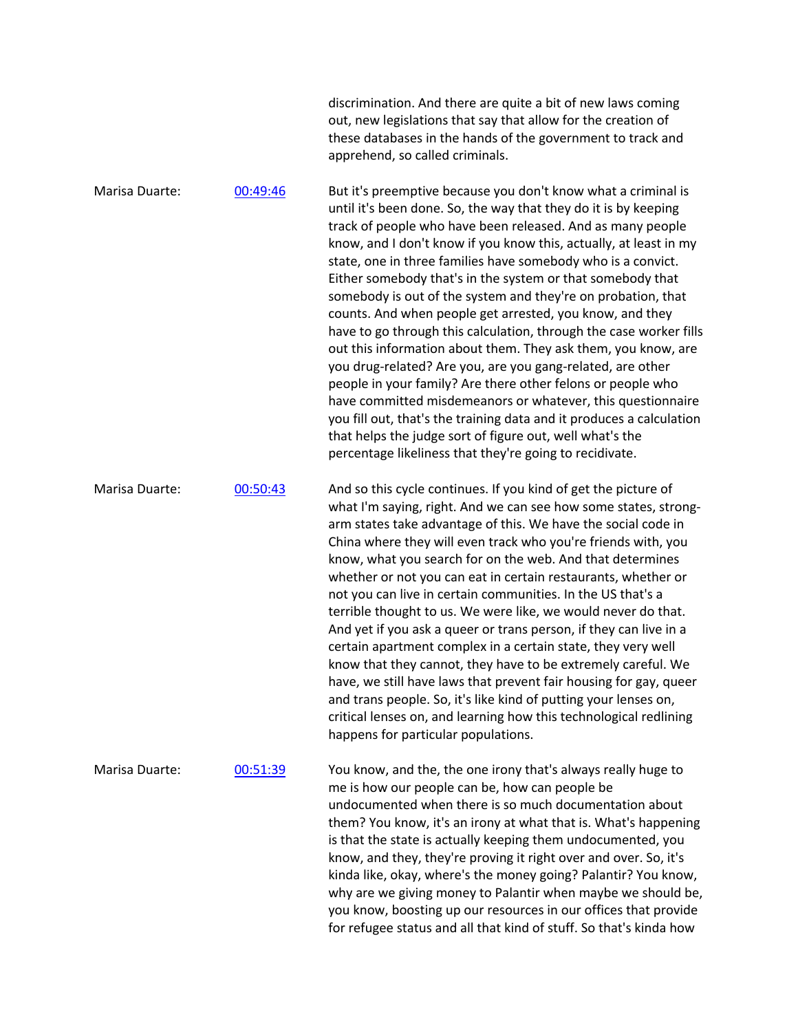|                |          | discrimination. And there are quite a bit of new laws coming<br>out, new legislations that say that allow for the creation of<br>these databases in the hands of the government to track and<br>apprehend, so called criminals.                                                                                                                                                                                                                                                                                                                                                                                                                                                                                                                                                                                                                                                                                                                                                                                                                                 |
|----------------|----------|-----------------------------------------------------------------------------------------------------------------------------------------------------------------------------------------------------------------------------------------------------------------------------------------------------------------------------------------------------------------------------------------------------------------------------------------------------------------------------------------------------------------------------------------------------------------------------------------------------------------------------------------------------------------------------------------------------------------------------------------------------------------------------------------------------------------------------------------------------------------------------------------------------------------------------------------------------------------------------------------------------------------------------------------------------------------|
| Marisa Duarte: | 00:49:46 | But it's preemptive because you don't know what a criminal is<br>until it's been done. So, the way that they do it is by keeping<br>track of people who have been released. And as many people<br>know, and I don't know if you know this, actually, at least in my<br>state, one in three families have somebody who is a convict.<br>Either somebody that's in the system or that somebody that<br>somebody is out of the system and they're on probation, that<br>counts. And when people get arrested, you know, and they<br>have to go through this calculation, through the case worker fills<br>out this information about them. They ask them, you know, are<br>you drug-related? Are you, are you gang-related, are other<br>people in your family? Are there other felons or people who<br>have committed misdemeanors or whatever, this questionnaire<br>you fill out, that's the training data and it produces a calculation<br>that helps the judge sort of figure out, well what's the<br>percentage likeliness that they're going to recidivate. |
| Marisa Duarte: | 00:50:43 | And so this cycle continues. If you kind of get the picture of<br>what I'm saying, right. And we can see how some states, strong-<br>arm states take advantage of this. We have the social code in<br>China where they will even track who you're friends with, you<br>know, what you search for on the web. And that determines<br>whether or not you can eat in certain restaurants, whether or<br>not you can live in certain communities. In the US that's a<br>terrible thought to us. We were like, we would never do that.<br>And yet if you ask a queer or trans person, if they can live in a<br>certain apartment complex in a certain state, they very well<br>know that they cannot, they have to be extremely careful. We<br>have, we still have laws that prevent fair housing for gay, queer<br>and trans people. So, it's like kind of putting your lenses on,<br>critical lenses on, and learning how this technological redlining<br>happens for particular populations.                                                                      |
| Marisa Duarte: | 00:51:39 | You know, and the, the one irony that's always really huge to<br>me is how our people can be, how can people be<br>undocumented when there is so much documentation about<br>them? You know, it's an irony at what that is. What's happening<br>is that the state is actually keeping them undocumented, you<br>know, and they, they're proving it right over and over. So, it's<br>kinda like, okay, where's the money going? Palantir? You know,<br>why are we giving money to Palantir when maybe we should be,<br>you know, boosting up our resources in our offices that provide<br>for refugee status and all that kind of stuff. So that's kinda how                                                                                                                                                                                                                                                                                                                                                                                                     |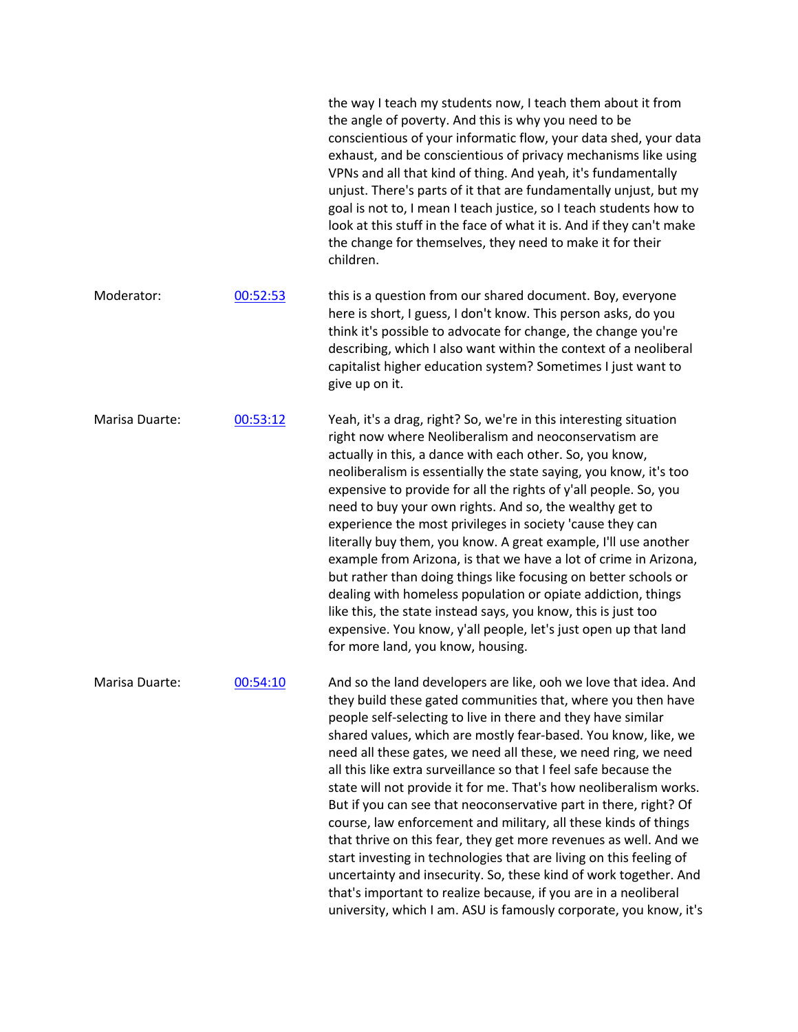|                |          | the way I teach my students now, I teach them about it from<br>the angle of poverty. And this is why you need to be<br>conscientious of your informatic flow, your data shed, your data<br>exhaust, and be conscientious of privacy mechanisms like using<br>VPNs and all that kind of thing. And yeah, it's fundamentally<br>unjust. There's parts of it that are fundamentally unjust, but my<br>goal is not to, I mean I teach justice, so I teach students how to<br>look at this stuff in the face of what it is. And if they can't make<br>the change for themselves, they need to make it for their<br>children.                                                                                                                                                                                                                                                                                                                                                   |
|----------------|----------|---------------------------------------------------------------------------------------------------------------------------------------------------------------------------------------------------------------------------------------------------------------------------------------------------------------------------------------------------------------------------------------------------------------------------------------------------------------------------------------------------------------------------------------------------------------------------------------------------------------------------------------------------------------------------------------------------------------------------------------------------------------------------------------------------------------------------------------------------------------------------------------------------------------------------------------------------------------------------|
| Moderator:     | 00:52:53 | this is a question from our shared document. Boy, everyone<br>here is short, I guess, I don't know. This person asks, do you<br>think it's possible to advocate for change, the change you're<br>describing, which I also want within the context of a neoliberal<br>capitalist higher education system? Sometimes I just want to<br>give up on it.                                                                                                                                                                                                                                                                                                                                                                                                                                                                                                                                                                                                                       |
| Marisa Duarte: | 00:53:12 | Yeah, it's a drag, right? So, we're in this interesting situation<br>right now where Neoliberalism and neoconservatism are<br>actually in this, a dance with each other. So, you know,<br>neoliberalism is essentially the state saying, you know, it's too<br>expensive to provide for all the rights of y'all people. So, you<br>need to buy your own rights. And so, the wealthy get to<br>experience the most privileges in society 'cause they can<br>literally buy them, you know. A great example, I'll use another<br>example from Arizona, is that we have a lot of crime in Arizona,<br>but rather than doing things like focusing on better schools or<br>dealing with homeless population or opiate addiction, things<br>like this, the state instead says, you know, this is just too<br>expensive. You know, y'all people, let's just open up that land<br>for more land, you know, housing.                                                                |
| Marisa Duarte: | 00:54:10 | And so the land developers are like, ooh we love that idea. And<br>they build these gated communities that, where you then have<br>people self-selecting to live in there and they have similar<br>shared values, which are mostly fear-based. You know, like, we<br>need all these gates, we need all these, we need ring, we need<br>all this like extra surveillance so that I feel safe because the<br>state will not provide it for me. That's how neoliberalism works.<br>But if you can see that neoconservative part in there, right? Of<br>course, law enforcement and military, all these kinds of things<br>that thrive on this fear, they get more revenues as well. And we<br>start investing in technologies that are living on this feeling of<br>uncertainty and insecurity. So, these kind of work together. And<br>that's important to realize because, if you are in a neoliberal<br>university, which I am. ASU is famously corporate, you know, it's |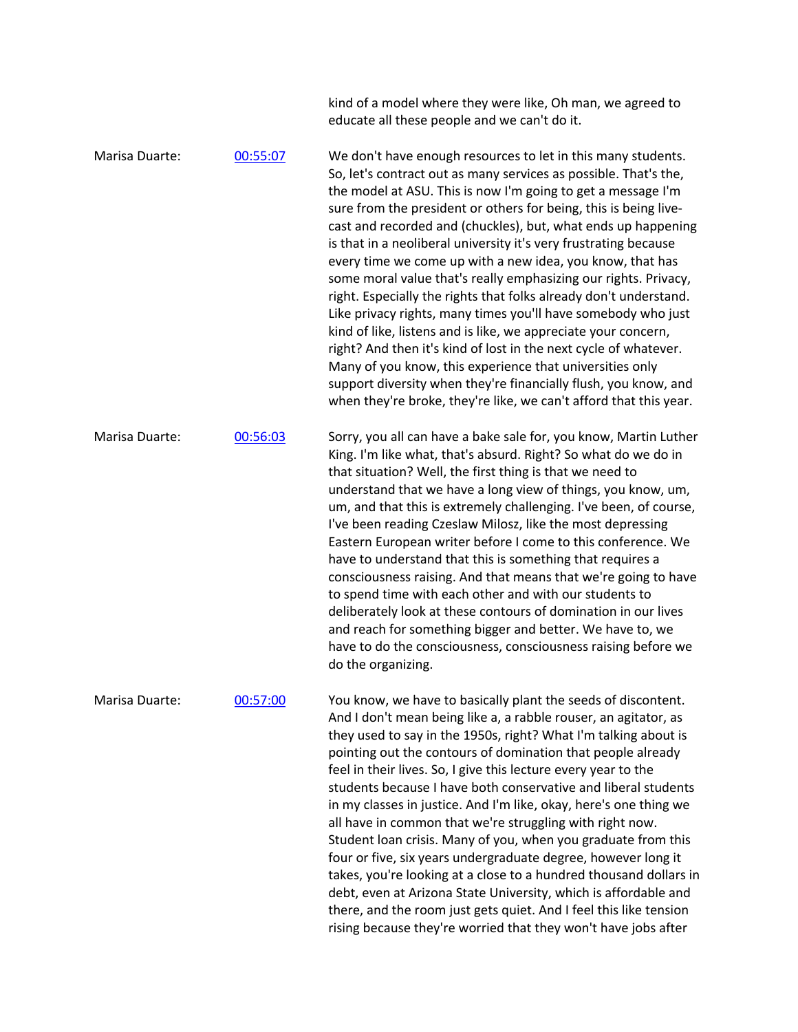|                |          | kind of a model where they were like, Oh man, we agreed to<br>educate all these people and we can't do it.                                                                                                                                                                                                                                                                                                                                                                                                                                                                                                                                                                                                                                                                                                                                                                                                                                                                                                                |
|----------------|----------|---------------------------------------------------------------------------------------------------------------------------------------------------------------------------------------------------------------------------------------------------------------------------------------------------------------------------------------------------------------------------------------------------------------------------------------------------------------------------------------------------------------------------------------------------------------------------------------------------------------------------------------------------------------------------------------------------------------------------------------------------------------------------------------------------------------------------------------------------------------------------------------------------------------------------------------------------------------------------------------------------------------------------|
| Marisa Duarte: | 00:55:07 | We don't have enough resources to let in this many students.<br>So, let's contract out as many services as possible. That's the,<br>the model at ASU. This is now I'm going to get a message I'm<br>sure from the president or others for being, this is being live-<br>cast and recorded and (chuckles), but, what ends up happening<br>is that in a neoliberal university it's very frustrating because<br>every time we come up with a new idea, you know, that has<br>some moral value that's really emphasizing our rights. Privacy,<br>right. Especially the rights that folks already don't understand.<br>Like privacy rights, many times you'll have somebody who just<br>kind of like, listens and is like, we appreciate your concern,<br>right? And then it's kind of lost in the next cycle of whatever.<br>Many of you know, this experience that universities only<br>support diversity when they're financially flush, you know, and<br>when they're broke, they're like, we can't afford that this year. |
| Marisa Duarte: | 00:56:03 | Sorry, you all can have a bake sale for, you know, Martin Luther<br>King. I'm like what, that's absurd. Right? So what do we do in<br>that situation? Well, the first thing is that we need to<br>understand that we have a long view of things, you know, um,<br>um, and that this is extremely challenging. I've been, of course,<br>I've been reading Czeslaw Milosz, like the most depressing<br>Eastern European writer before I come to this conference. We<br>have to understand that this is something that requires a<br>consciousness raising. And that means that we're going to have<br>to spend time with each other and with our students to<br>deliberately look at these contours of domination in our lives<br>and reach for something bigger and better. We have to, we<br>have to do the consciousness, consciousness raising before we<br>do the organizing.                                                                                                                                          |
| Marisa Duarte: | 00:57:00 | You know, we have to basically plant the seeds of discontent.<br>And I don't mean being like a, a rabble rouser, an agitator, as<br>they used to say in the 1950s, right? What I'm talking about is<br>pointing out the contours of domination that people already<br>feel in their lives. So, I give this lecture every year to the<br>students because I have both conservative and liberal students<br>in my classes in justice. And I'm like, okay, here's one thing we<br>all have in common that we're struggling with right now.<br>Student loan crisis. Many of you, when you graduate from this<br>four or five, six years undergraduate degree, however long it<br>takes, you're looking at a close to a hundred thousand dollars in<br>debt, even at Arizona State University, which is affordable and<br>there, and the room just gets quiet. And I feel this like tension<br>rising because they're worried that they won't have jobs after                                                                  |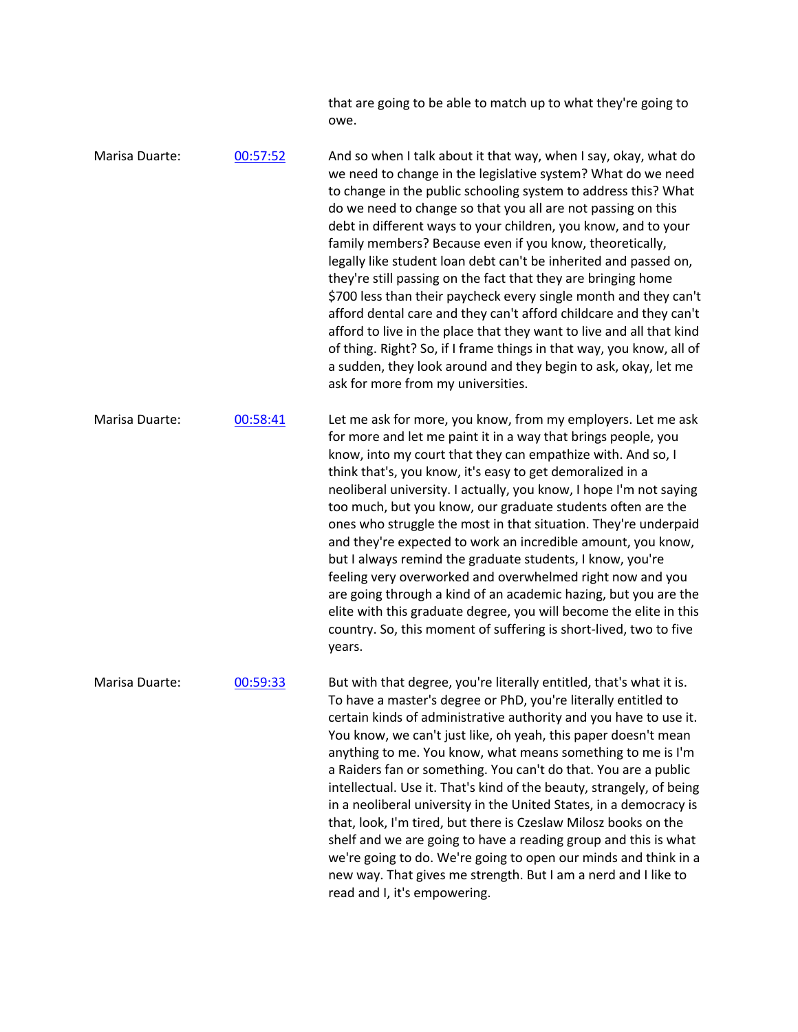that are going to be able to match up to what they're going to owe.

Marisa Duarte: 00:57:52 And so when I talk about it that way, when I say, okay, what do we need to change in the legislative system? What do we need to change in the public schooling system to address this? What do we need to change so that you all are not passing on this debt in different ways to your children, you know, and to your family members? Because even if you know, theoretically, legally like student loan debt can't be inherited and passed on, they're still passing on the fact that they are bringing home \$700 less than their paycheck every single month and they can't afford dental care and they can't afford childcare and they can't afford to live in the place that they want to live and all that kind of thing. Right? So, if I frame things in that way, you know, all of a sudden, they look around and they begin to ask, okay, let me ask for more from my universities. Marisa Duarte: 00:58:41 Let me ask for more, you know, from my employers. Let me ask for more and let me paint it in a way that brings people, you know, into my court that they can empathize with. And so, I think that's, you know, it's easy to get demoralized in a neoliberal university. I actually, you know, I hope I'm not saying too much, but you know, our graduate students often are the ones who struggle the most in that situation. They're underpaid and they're expected to work an incredible amount, you know, but I always remind the graduate students, I know, you're feeling very overworked and overwhelmed right now and you are going through a kind of an academic hazing, but you are the elite with this graduate degree, you will become the elite in this country. So, this moment of suffering is short-lived, two to five years. Marisa Duarte:  $0.59:33$  But with that degree, you're literally entitled, that's what it is. To have a master's degree or PhD, you're literally entitled to certain kinds of administrative authority and you have to use it. You know, we can't just like, oh yeah, this paper doesn't mean anything to me. You know, what means something to me is I'm a Raiders fan or something. You can't do that. You are a public intellectual. Use it. That's kind of the beauty, strangely, of being in a neoliberal university in the United States, in a democracy is that, look, I'm tired, but there is Czeslaw Milosz books on the shelf and we are going to have a reading group and this is what we're going to do. We're going to open our minds and think in a new way. That gives me strength. But I am a nerd and I like to

read and I, it's empowering.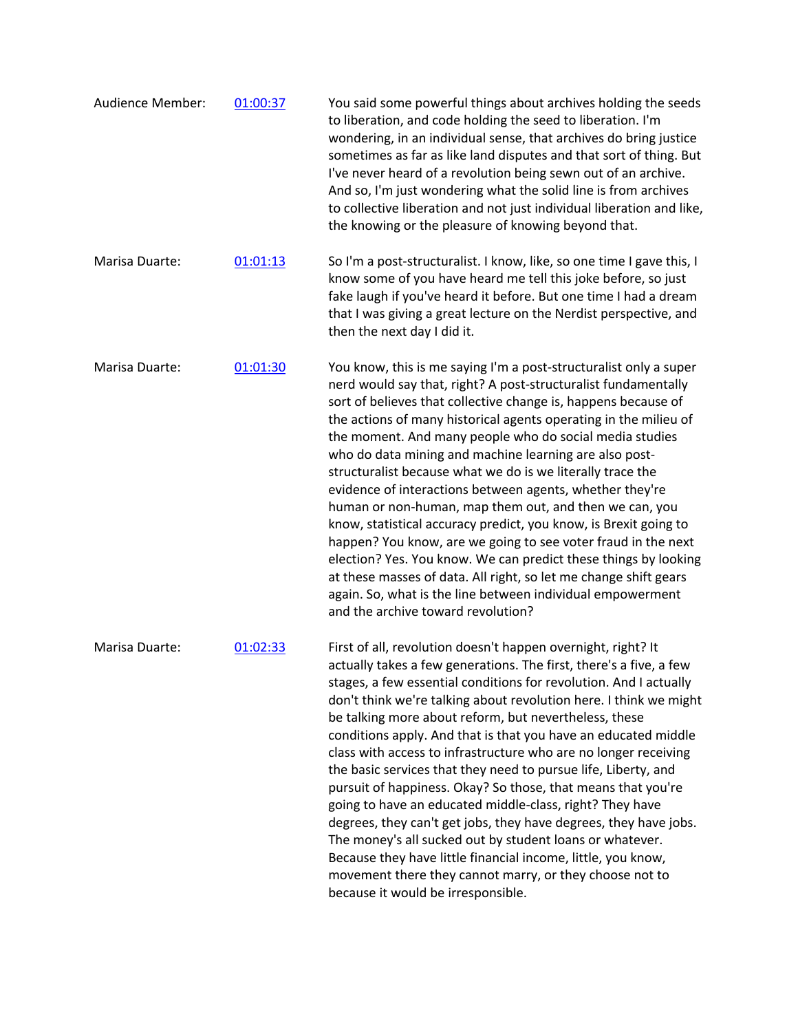| <b>Audience Member:</b> | 01:00:37 | You said some powerful things about archives holding the seeds<br>to liberation, and code holding the seed to liberation. I'm<br>wondering, in an individual sense, that archives do bring justice<br>sometimes as far as like land disputes and that sort of thing. But<br>I've never heard of a revolution being sewn out of an archive.<br>And so, I'm just wondering what the solid line is from archives<br>to collective liberation and not just individual liberation and like,<br>the knowing or the pleasure of knowing beyond that.                                                                                                                                                                                                                                                                                                                                                                                                                             |
|-------------------------|----------|---------------------------------------------------------------------------------------------------------------------------------------------------------------------------------------------------------------------------------------------------------------------------------------------------------------------------------------------------------------------------------------------------------------------------------------------------------------------------------------------------------------------------------------------------------------------------------------------------------------------------------------------------------------------------------------------------------------------------------------------------------------------------------------------------------------------------------------------------------------------------------------------------------------------------------------------------------------------------|
| Marisa Duarte:          | 01:01:13 | So I'm a post-structuralist. I know, like, so one time I gave this, I<br>know some of you have heard me tell this joke before, so just<br>fake laugh if you've heard it before. But one time I had a dream<br>that I was giving a great lecture on the Nerdist perspective, and<br>then the next day I did it.                                                                                                                                                                                                                                                                                                                                                                                                                                                                                                                                                                                                                                                            |
| Marisa Duarte:          | 01:01:30 | You know, this is me saying I'm a post-structuralist only a super<br>nerd would say that, right? A post-structuralist fundamentally<br>sort of believes that collective change is, happens because of<br>the actions of many historical agents operating in the milieu of<br>the moment. And many people who do social media studies<br>who do data mining and machine learning are also post-<br>structuralist because what we do is we literally trace the<br>evidence of interactions between agents, whether they're<br>human or non-human, map them out, and then we can, you<br>know, statistical accuracy predict, you know, is Brexit going to<br>happen? You know, are we going to see voter fraud in the next<br>election? Yes. You know. We can predict these things by looking<br>at these masses of data. All right, so let me change shift gears<br>again. So, what is the line between individual empowerment<br>and the archive toward revolution?        |
| Marisa Duarte:          | 01:02:33 | First of all, revolution doesn't happen overnight, right? It<br>actually takes a few generations. The first, there's a five, a few<br>stages, a few essential conditions for revolution. And I actually<br>don't think we're talking about revolution here. I think we might<br>be talking more about reform, but nevertheless, these<br>conditions apply. And that is that you have an educated middle<br>class with access to infrastructure who are no longer receiving<br>the basic services that they need to pursue life, Liberty, and<br>pursuit of happiness. Okay? So those, that means that you're<br>going to have an educated middle-class, right? They have<br>degrees, they can't get jobs, they have degrees, they have jobs.<br>The money's all sucked out by student loans or whatever.<br>Because they have little financial income, little, you know,<br>movement there they cannot marry, or they choose not to<br>because it would be irresponsible. |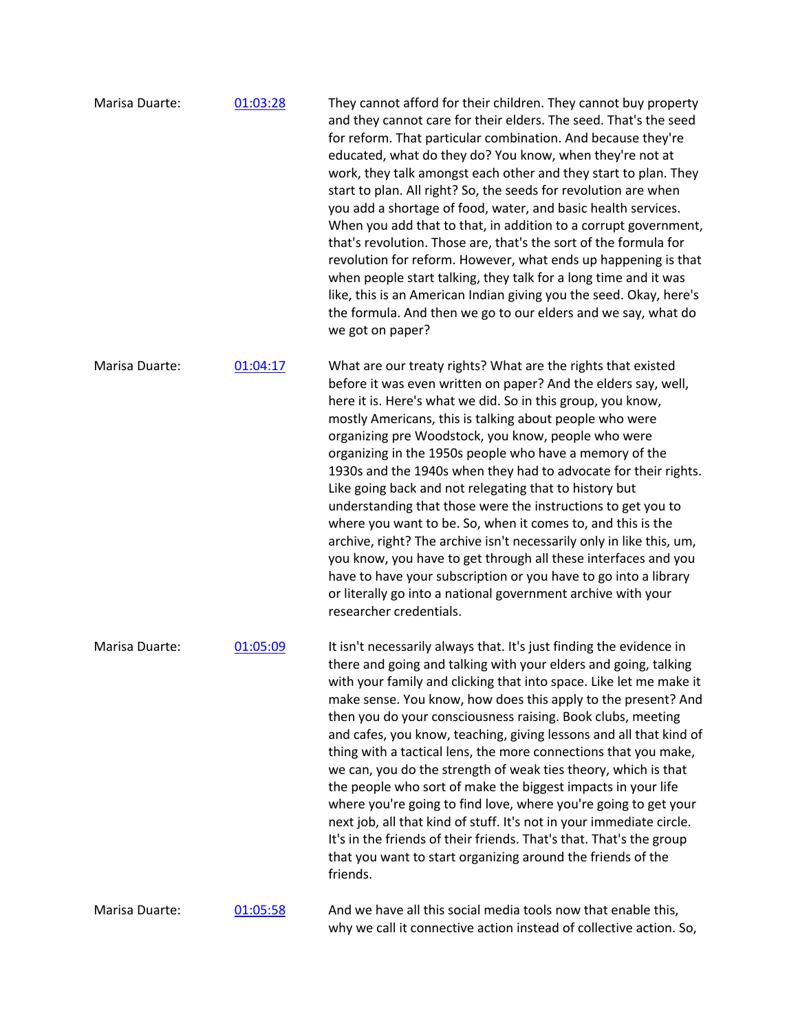| Marisa Duarte: | 01:03:28 | They cannot afford for their children. They cannot buy property<br>and they cannot care for their elders. The seed. That's the seed<br>for reform. That particular combination. And because they're<br>educated, what do they do? You know, when they're not at<br>work, they talk amongst each other and they start to plan. They<br>start to plan. All right? So, the seeds for revolution are when<br>you add a shortage of food, water, and basic health services.<br>When you add that to that, in addition to a corrupt government,<br>that's revolution. Those are, that's the sort of the formula for<br>revolution for reform. However, what ends up happening is that<br>when people start talking, they talk for a long time and it was<br>like, this is an American Indian giving you the seed. Okay, here's<br>the formula. And then we go to our elders and we say, what do<br>we got on paper?                                  |
|----------------|----------|------------------------------------------------------------------------------------------------------------------------------------------------------------------------------------------------------------------------------------------------------------------------------------------------------------------------------------------------------------------------------------------------------------------------------------------------------------------------------------------------------------------------------------------------------------------------------------------------------------------------------------------------------------------------------------------------------------------------------------------------------------------------------------------------------------------------------------------------------------------------------------------------------------------------------------------------|
| Marisa Duarte: | 01:04:17 | What are our treaty rights? What are the rights that existed<br>before it was even written on paper? And the elders say, well,<br>here it is. Here's what we did. So in this group, you know,<br>mostly Americans, this is talking about people who were<br>organizing pre Woodstock, you know, people who were<br>organizing in the 1950s people who have a memory of the<br>1930s and the 1940s when they had to advocate for their rights.<br>Like going back and not relegating that to history but<br>understanding that those were the instructions to get you to<br>where you want to be. So, when it comes to, and this is the<br>archive, right? The archive isn't necessarily only in like this, um,<br>you know, you have to get through all these interfaces and you<br>have to have your subscription or you have to go into a library<br>or literally go into a national government archive with your<br>researcher credentials. |
| Marisa Duarte: | 01:05:09 | It isn't necessarily always that. It's just finding the evidence in<br>there and going and talking with your elders and going, talking<br>with your family and clicking that into space. Like let me make it<br>make sense. You know, how does this apply to the present? And<br>then you do your consciousness raising. Book clubs, meeting<br>and cafes, you know, teaching, giving lessons and all that kind of<br>thing with a tactical lens, the more connections that you make,<br>we can, you do the strength of weak ties theory, which is that<br>the people who sort of make the biggest impacts in your life<br>where you're going to find love, where you're going to get your<br>next job, all that kind of stuff. It's not in your immediate circle.<br>It's in the friends of their friends. That's that. That's the group<br>that you want to start organizing around the friends of the<br>friends.                           |
| Marisa Duarte: | 01:05:58 | And we have all this social media tools now that enable this,<br>why we call it connective action instead of collective action. So,                                                                                                                                                                                                                                                                                                                                                                                                                                                                                                                                                                                                                                                                                                                                                                                                            |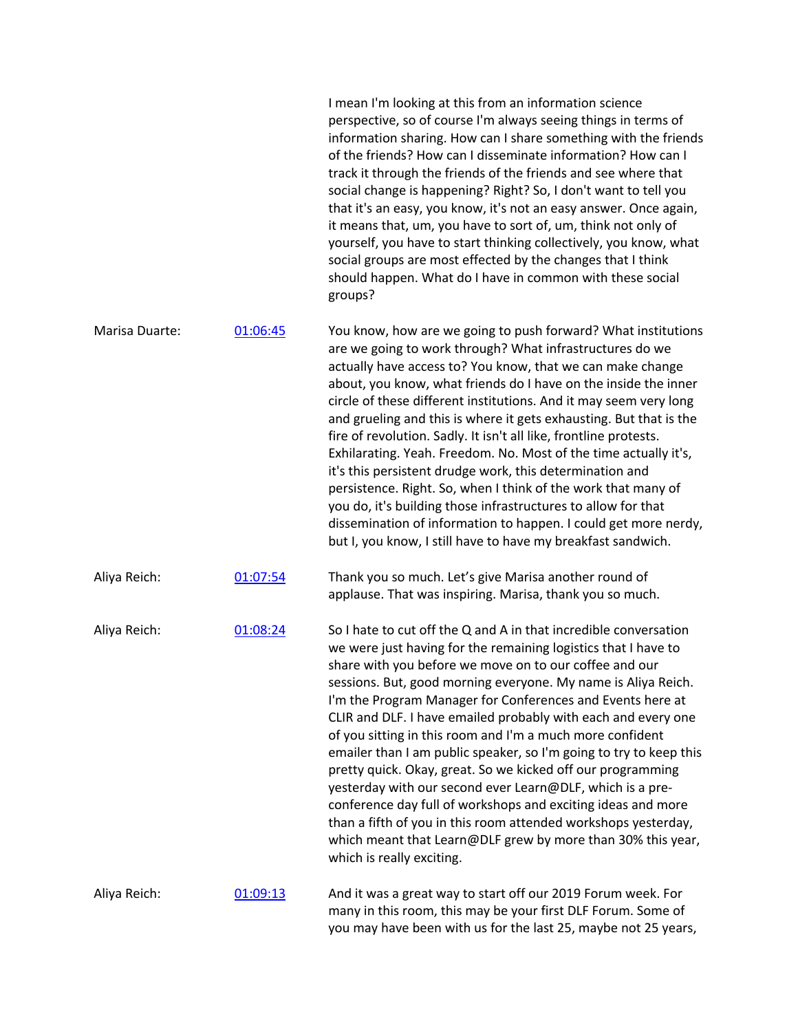|                |          | I mean I'm looking at this from an information science<br>perspective, so of course I'm always seeing things in terms of<br>information sharing. How can I share something with the friends<br>of the friends? How can I disseminate information? How can I<br>track it through the friends of the friends and see where that<br>social change is happening? Right? So, I don't want to tell you<br>that it's an easy, you know, it's not an easy answer. Once again,<br>it means that, um, you have to sort of, um, think not only of<br>yourself, you have to start thinking collectively, you know, what<br>social groups are most effected by the changes that I think<br>should happen. What do I have in common with these social<br>groups?                                                                                                                                        |
|----------------|----------|-------------------------------------------------------------------------------------------------------------------------------------------------------------------------------------------------------------------------------------------------------------------------------------------------------------------------------------------------------------------------------------------------------------------------------------------------------------------------------------------------------------------------------------------------------------------------------------------------------------------------------------------------------------------------------------------------------------------------------------------------------------------------------------------------------------------------------------------------------------------------------------------|
| Marisa Duarte: | 01:06:45 | You know, how are we going to push forward? What institutions<br>are we going to work through? What infrastructures do we<br>actually have access to? You know, that we can make change<br>about, you know, what friends do I have on the inside the inner<br>circle of these different institutions. And it may seem very long<br>and grueling and this is where it gets exhausting. But that is the<br>fire of revolution. Sadly. It isn't all like, frontline protests.<br>Exhilarating. Yeah. Freedom. No. Most of the time actually it's,<br>it's this persistent drudge work, this determination and<br>persistence. Right. So, when I think of the work that many of<br>you do, it's building those infrastructures to allow for that<br>dissemination of information to happen. I could get more nerdy,<br>but I, you know, I still have to have my breakfast sandwich.           |
| Aliya Reich:   | 01:07:54 | Thank you so much. Let's give Marisa another round of<br>applause. That was inspiring. Marisa, thank you so much.                                                                                                                                                                                                                                                                                                                                                                                                                                                                                                                                                                                                                                                                                                                                                                         |
| Aliya Reich:   | 01:08:24 | So I hate to cut off the Q and A in that incredible conversation<br>we were just having for the remaining logistics that I have to<br>share with you before we move on to our coffee and our<br>sessions. But, good morning everyone. My name is Aliya Reich.<br>I'm the Program Manager for Conferences and Events here at<br>CLIR and DLF. I have emailed probably with each and every one<br>of you sitting in this room and I'm a much more confident<br>emailer than I am public speaker, so I'm going to try to keep this<br>pretty quick. Okay, great. So we kicked off our programming<br>yesterday with our second ever Learn@DLF, which is a pre-<br>conference day full of workshops and exciting ideas and more<br>than a fifth of you in this room attended workshops yesterday,<br>which meant that Learn@DLF grew by more than 30% this year,<br>which is really exciting. |
| Aliya Reich:   | 01:09:13 | And it was a great way to start off our 2019 Forum week. For<br>many in this room, this may be your first DLF Forum. Some of<br>you may have been with us for the last 25, maybe not 25 years,                                                                                                                                                                                                                                                                                                                                                                                                                                                                                                                                                                                                                                                                                            |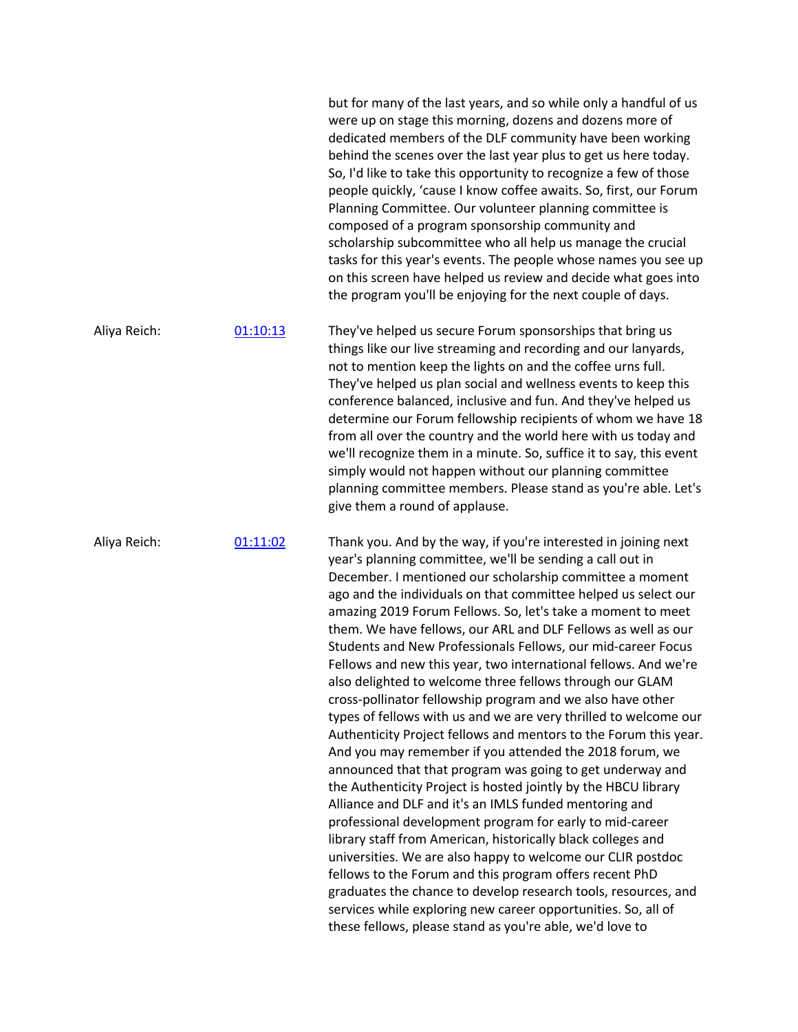|              |          | but for many of the last years, and so while only a handful of us<br>were up on stage this morning, dozens and dozens more of<br>dedicated members of the DLF community have been working<br>behind the scenes over the last year plus to get us here today.<br>So, I'd like to take this opportunity to recognize a few of those<br>people quickly, 'cause I know coffee awaits. So, first, our Forum<br>Planning Committee. Our volunteer planning committee is<br>composed of a program sponsorship community and<br>scholarship subcommittee who all help us manage the crucial<br>tasks for this year's events. The people whose names you see up<br>on this screen have helped us review and decide what goes into<br>the program you'll be enjoying for the next couple of days.                                                                                                                                                                                                                                                                                                                                                                                                                                                                                                                                                                                                                                                                                                                  |
|--------------|----------|----------------------------------------------------------------------------------------------------------------------------------------------------------------------------------------------------------------------------------------------------------------------------------------------------------------------------------------------------------------------------------------------------------------------------------------------------------------------------------------------------------------------------------------------------------------------------------------------------------------------------------------------------------------------------------------------------------------------------------------------------------------------------------------------------------------------------------------------------------------------------------------------------------------------------------------------------------------------------------------------------------------------------------------------------------------------------------------------------------------------------------------------------------------------------------------------------------------------------------------------------------------------------------------------------------------------------------------------------------------------------------------------------------------------------------------------------------------------------------------------------------|
| Aliya Reich: | 01:10:13 | They've helped us secure Forum sponsorships that bring us<br>things like our live streaming and recording and our lanyards,<br>not to mention keep the lights on and the coffee urns full.<br>They've helped us plan social and wellness events to keep this<br>conference balanced, inclusive and fun. And they've helped us<br>determine our Forum fellowship recipients of whom we have 18<br>from all over the country and the world here with us today and<br>we'll recognize them in a minute. So, suffice it to say, this event<br>simply would not happen without our planning committee<br>planning committee members. Please stand as you're able. Let's<br>give them a round of applause.                                                                                                                                                                                                                                                                                                                                                                                                                                                                                                                                                                                                                                                                                                                                                                                                     |
| Aliya Reich: | 01:11:02 | Thank you. And by the way, if you're interested in joining next<br>year's planning committee, we'll be sending a call out in<br>December. I mentioned our scholarship committee a moment<br>ago and the individuals on that committee helped us select our<br>amazing 2019 Forum Fellows. So, let's take a moment to meet<br>them. We have fellows, our ARL and DLF Fellows as well as our<br>Students and New Professionals Fellows, our mid-career Focus<br>Fellows and new this year, two international fellows. And we're<br>also delighted to welcome three fellows through our GLAM<br>cross-pollinator fellowship program and we also have other<br>types of fellows with us and we are very thrilled to welcome our<br>Authenticity Project fellows and mentors to the Forum this year.<br>And you may remember if you attended the 2018 forum, we<br>announced that that program was going to get underway and<br>the Authenticity Project is hosted jointly by the HBCU library<br>Alliance and DLF and it's an IMLS funded mentoring and<br>professional development program for early to mid-career<br>library staff from American, historically black colleges and<br>universities. We are also happy to welcome our CLIR postdoc<br>fellows to the Forum and this program offers recent PhD<br>graduates the chance to develop research tools, resources, and<br>services while exploring new career opportunities. So, all of<br>these fellows, please stand as you're able, we'd love to |